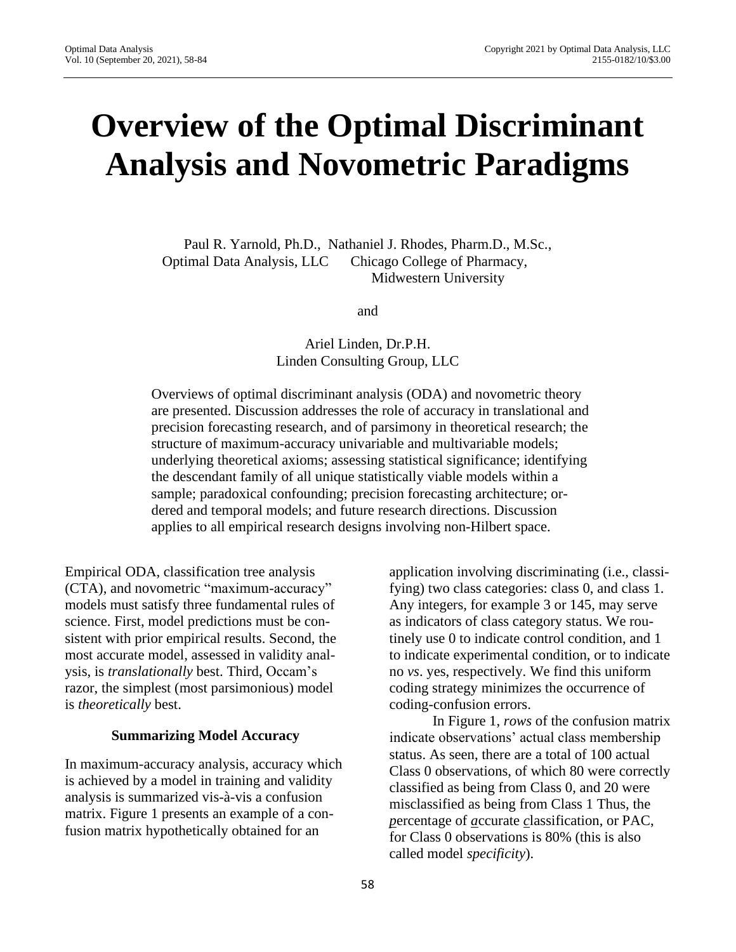# **Overview of the Optimal Discriminant Analysis and Novometric Paradigms**

Paul R. Yarnold, Ph.D., Nathaniel J. Rhodes, Pharm.D., M.Sc., Optimal Data Analysis, LLC Chicago College of Pharmacy, Midwestern University

and

Ariel Linden, Dr.P.H. Linden Consulting Group, LLC

Overviews of optimal discriminant analysis (ODA) and novometric theory are presented. Discussion addresses the role of accuracy in translational and precision forecasting research, and of parsimony in theoretical research; the structure of maximum-accuracy univariable and multivariable models; underlying theoretical axioms; assessing statistical significance; identifying the descendant family of all unique statistically viable models within a sample; paradoxical confounding; precision forecasting architecture; ordered and temporal models; and future research directions. Discussion applies to all empirical research designs involving non-Hilbert space.

Empirical ODA, classification tree analysis (CTA), and novometric "maximum-accuracy" models must satisfy three fundamental rules of science. First, model predictions must be consistent with prior empirical results. Second, the most accurate model, assessed in validity analysis, is *translationally* best. Third, Occam's razor, the simplest (most parsimonious) model is *theoretically* best.

### **Summarizing Model Accuracy**

In maximum-accuracy analysis, accuracy which is achieved by a model in training and validity analysis is summarized vis-à-vis a confusion matrix. Figure 1 presents an example of a confusion matrix hypothetically obtained for an

application involving discriminating (i.e., classifying) two class categories: class 0, and class 1. Any integers, for example 3 or 145, may serve as indicators of class category status. We routinely use 0 to indicate control condition, and 1 to indicate experimental condition, or to indicate no *vs*. yes, respectively. We find this uniform coding strategy minimizes the occurrence of coding-confusion errors.

In Figure 1, *rows* of the confusion matrix indicate observations' actual class membership status. As seen, there are a total of 100 actual Class 0 observations, of which 80 were correctly classified as being from Class 0, and 20 were misclassified as being from Class 1 Thus, the *p*ercentage of *a*ccurate *c*lassification, or PAC, for Class 0 observations is 80% (this is also called model *specificity*).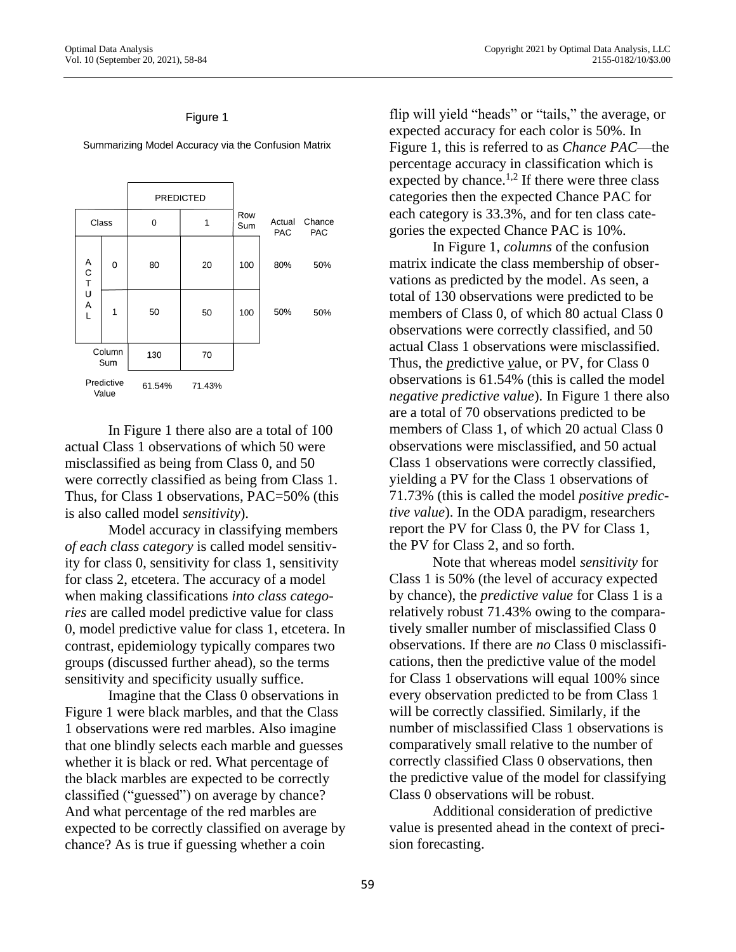### Figure 1



Summarizing Model Accuracy via the Confusion Matrix

In Figure 1 there also are a total of 100 actual Class 1 observations of which 50 were misclassified as being from Class 0, and 50 were correctly classified as being from Class 1. Thus, for Class 1 observations, PAC=50% (this is also called model *sensitivity*).

Model accuracy in classifying members *of each class category* is called model sensitivity for class 0, sensitivity for class 1, sensitivity for class 2, etcetera. The accuracy of a model when making classifications *into class categories* are called model predictive value for class 0, model predictive value for class 1, etcetera. In contrast, epidemiology typically compares two groups (discussed further ahead), so the terms sensitivity and specificity usually suffice.

Imagine that the Class 0 observations in Figure 1 were black marbles, and that the Class 1 observations were red marbles. Also imagine that one blindly selects each marble and guesses whether it is black or red. What percentage of the black marbles are expected to be correctly classified ("guessed") on average by chance? And what percentage of the red marbles are expected to be correctly classified on average by chance? As is true if guessing whether a coin

flip will yield "heads" or "tails," the average, or expected accuracy for each color is 50%. In Figure 1, this is referred to as *Chance PAC*—the percentage accuracy in classification which is expected by chance.<sup>1,2</sup> If there were three class categories then the expected Chance PAC for each category is 33.3%, and for ten class categories the expected Chance PAC is 10%.

In Figure 1, *columns* of the confusion matrix indicate the class membership of observations as predicted by the model. As seen, a total of 130 observations were predicted to be members of Class 0, of which 80 actual Class 0 observations were correctly classified, and 50 actual Class 1 observations were misclassified. Thus, the *p*redictive *v*alue, or PV, for Class 0 observations is 61.54% (this is called the model *negative predictive value*). In Figure 1 there also are a total of 70 observations predicted to be members of Class 1, of which 20 actual Class 0 observations were misclassified, and 50 actual Class 1 observations were correctly classified, yielding a PV for the Class 1 observations of 71.73% (this is called the model *positive predictive value*). In the ODA paradigm, researchers report the PV for Class 0, the PV for Class 1, the PV for Class 2, and so forth.

Note that whereas model *sensitivity* for Class 1 is 50% (the level of accuracy expected by chance), the *predictive value* for Class 1 is a relatively robust 71.43% owing to the comparatively smaller number of misclassified Class 0 observations. If there are *no* Class 0 misclassifications, then the predictive value of the model for Class 1 observations will equal 100% since every observation predicted to be from Class 1 will be correctly classified. Similarly, if the number of misclassified Class 1 observations is comparatively small relative to the number of correctly classified Class 0 observations, then the predictive value of the model for classifying Class 0 observations will be robust.

Additional consideration of predictive value is presented ahead in the context of precision forecasting.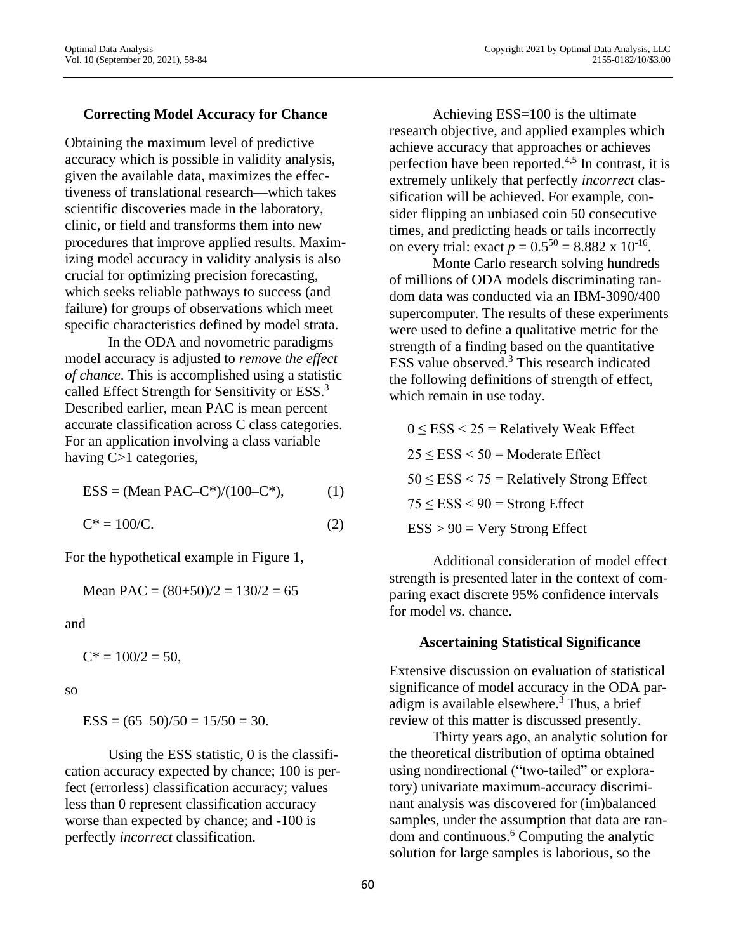### **Correcting Model Accuracy for Chance**

Obtaining the maximum level of predictive accuracy which is possible in validity analysis, given the available data, maximizes the effectiveness of translational research—which takes scientific discoveries made in the laboratory, clinic, or field and transforms them into new procedures that improve applied results. Maximizing model accuracy in validity analysis is also crucial for optimizing precision forecasting, which seeks reliable pathways to success (and failure) for groups of observations which meet specific characteristics defined by model strata.

In the ODA and novometric paradigms model accuracy is adjusted to *remove the effect of chance*. This is accomplished using a statistic called Effect Strength for Sensitivity or ESS.<sup>3</sup> Described earlier, mean PAC is mean percent accurate classification across C class categories. For an application involving a class variable having C>1 categories,

$$
ESS = (Mean PAC-C^*)/(100-C^*), \tag{1}
$$

 $C^* = 100/C.$  (2)

For the hypothetical example in Figure 1,

Mean PAC = 
$$
(80+50)/2 = 130/2 = 65
$$

and

 $C^* = 100/2 = 50$ ,

so

 $ESS = (65-50)/50 = 15/50 = 30.$ 

Using the ESS statistic, 0 is the classification accuracy expected by chance; 100 is perfect (errorless) classification accuracy; values less than 0 represent classification accuracy worse than expected by chance; and -100 is perfectly *incorrect* classification.

Achieving ESS=100 is the ultimate research objective, and applied examples which achieve accuracy that approaches or achieves perfection have been reported. 4,5 In contrast, it is extremely unlikely that perfectly *incorrect* classification will be achieved. For example, consider flipping an unbiased coin 50 consecutive times, and predicting heads or tails incorrectly on every trial: exact  $p = 0.5^{50} = 8.882 \times 10^{-16}$ .

Monte Carlo research solving hundreds of millions of ODA models discriminating random data was conducted via an IBM-3090/400 supercomputer. The results of these experiments were used to define a qualitative metric for the strength of a finding based on the quantitative ESS value observed. <sup>3</sup> This research indicated the following definitions of strength of effect, which remain in use today.

 $0 \leq ESS < 25$  = Relatively Weak Effect  $25 \le ESS < 50$  = Moderate Effect  $50 \leq ESS < 75$  = Relatively Strong Effect  $75 \leq ESS < 90$  = Strong Effect  $ESS > 90 = V$ ery Strong Effect

Additional consideration of model effect strength is presented later in the context of comparing exact discrete 95% confidence intervals for model *vs*. chance.

### **Ascertaining Statistical Significance**

Extensive discussion on evaluation of statistical significance of model accuracy in the ODA paradigm is available elsewhere. <sup>3</sup> Thus, a brief review of this matter is discussed presently.

Thirty years ago, an analytic solution for the theoretical distribution of optima obtained using nondirectional ("two-tailed" or exploratory) univariate maximum-accuracy discriminant analysis was discovered for (im)balanced samples, under the assumption that data are random and continuous.<sup>6</sup> Computing the analytic solution for large samples is laborious, so the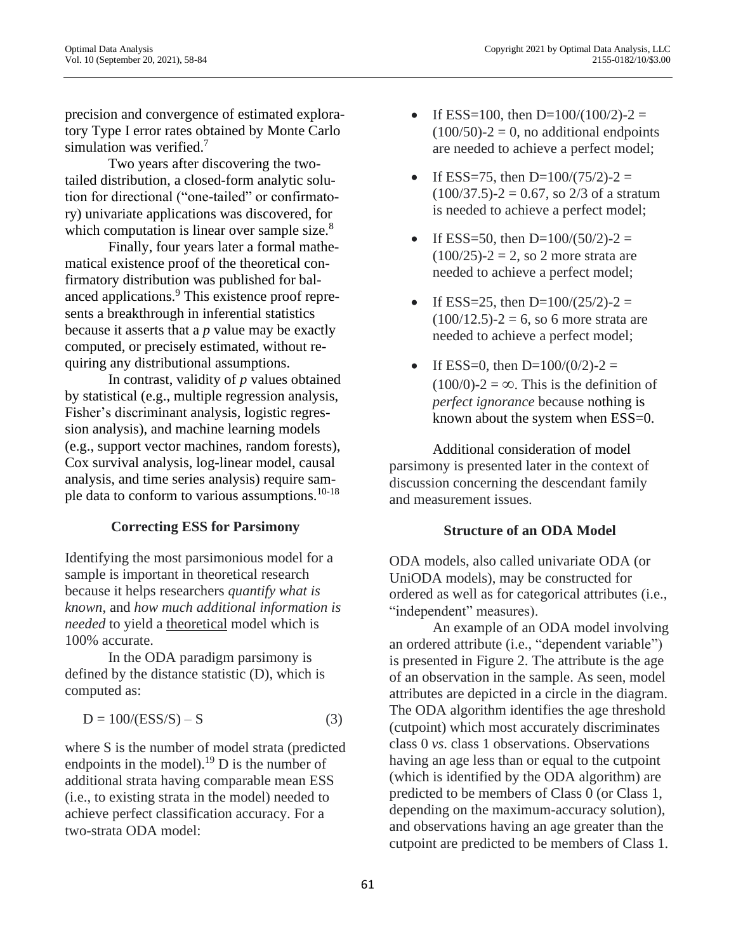precision and convergence of estimated exploratory Type I error rates obtained by Monte Carlo simulation was verified.<sup>7</sup>

Two years after discovering the twotailed distribution, a closed-form analytic solution for directional ("one-tailed" or confirmatory) univariate applications was discovered, for which computation is linear over sample size.<sup>8</sup>

Finally, four years later a formal mathematical existence proof of the theoretical confirmatory distribution was published for balanced applications.<sup>9</sup> This existence proof represents a breakthrough in inferential statistics because it asserts that a *p* value may be exactly computed, or precisely estimated, without requiring any distributional assumptions.

In contrast, validity of *p* values obtained by statistical (e.g., multiple regression analysis, Fisher's discriminant analysis, logistic regression analysis), and machine learning models (e.g., support vector machines, random forests), Cox survival analysis, log-linear model, causal analysis, and time series analysis) require sample data to conform to various assumptions.<sup>10-18</sup>

### **Correcting ESS for Parsimony**

Identifying the most parsimonious model for a sample is important in theoretical research because it helps researchers *quantify what is known*, and *how much additional information is needed* to yield a theoretical model which is 100% accurate.

In the ODA paradigm parsimony is defined by the distance statistic (D), which is computed as:

$$
D = 100/(ESS/S) - S \tag{3}
$$

where S is the number of model strata (predicted endpoints in the model).<sup>19</sup> D is the number of additional strata having comparable mean ESS (i.e., to existing strata in the model) needed to achieve perfect classification accuracy. For a two-strata ODA model:

- If ESS=100, then D=100/(100/2)-2 =  $(100/50)-2=0$ , no additional endpoints are needed to achieve a perfect model;
- If ESS=75, then D= $100/(75/2)$ -2 =  $(100/37.5)$ -2 = 0.67, so 2/3 of a stratum is needed to achieve a perfect model;
- If ESS=50, then D= $100/(50/2)$ -2 =  $(100/25) - 2 = 2$ , so 2 more strata are needed to achieve a perfect model;
- If ESS=25, then D= $100/(25/2)$ -2 =  $(100/12.5) - 2 = 6$ , so 6 more strata are needed to achieve a perfect model;
- If ESS=0, then  $D=100/(0/2)$ -2 =  $(100/0)$ -2 = ∞. This is the definition of *perfect ignorance* because nothing is known about the system when ESS=0.

Additional consideration of model parsimony is presented later in the context of discussion concerning the descendant family and measurement issues.

### **Structure of an ODA Model**

ODA models, also called univariate ODA (or UniODA models), may be constructed for ordered as well as for categorical attributes (i.e., "independent" measures).

An example of an ODA model involving an ordered attribute (i.e., "dependent variable") is presented in Figure 2. The attribute is the age of an observation in the sample. As seen, model attributes are depicted in a circle in the diagram. The ODA algorithm identifies the age threshold (cutpoint) which most accurately discriminates class 0 *vs*. class 1 observations. Observations having an age less than or equal to the cutpoint (which is identified by the ODA algorithm) are predicted to be members of Class 0 (or Class 1, depending on the maximum-accuracy solution), and observations having an age greater than the cutpoint are predicted to be members of Class 1.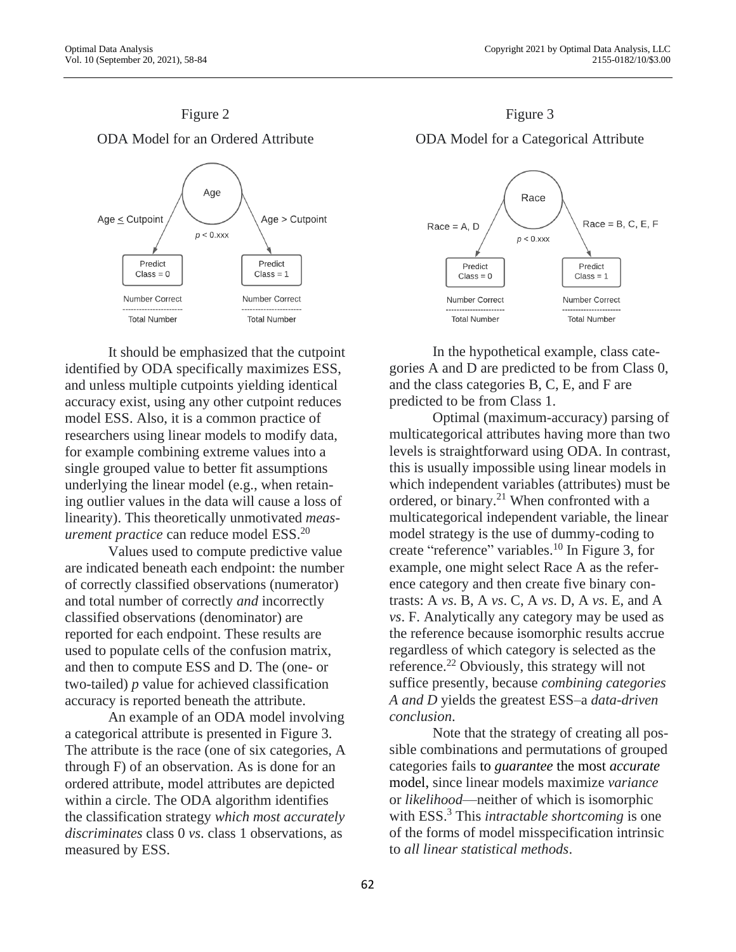

# It should be emphasized that the cutpoint identified by ODA specifically maximizes ESS, and unless multiple cutpoints yielding identical accuracy exist, using any other cutpoint reduces model ESS. Also, it is a common practice of researchers using linear models to modify data, for example combining extreme values into a single grouped value to better fit assumptions underlying the linear model (e.g., when retaining outlier values in the data will cause a loss of linearity). This theoretically unmotivated *measurement practice* can reduce model ESS.<sup>20</sup>

Values used to compute predictive value are indicated beneath each endpoint: the number of correctly classified observations (numerator) and total number of correctly *and* incorrectly classified observations (denominator) are reported for each endpoint. These results are used to populate cells of the confusion matrix, and then to compute ESS and D. The (one- or two-tailed) *p* value for achieved classification accuracy is reported beneath the attribute.

An example of an ODA model involving a categorical attribute is presented in Figure 3. The attribute is the race (one of six categories, A through F) of an observation. As is done for an ordered attribute, model attributes are depicted within a circle. The ODA algorithm identifies the classification strategy *which most accurately discriminates* class 0 *vs*. class 1 observations, as measured by ESS.





In the hypothetical example, class categories A and D are predicted to be from Class 0, and the class categories B, C, E, and F are predicted to be from Class 1.

Optimal (maximum-accuracy) parsing of multicategorical attributes having more than two levels is straightforward using ODA. In contrast, this is usually impossible using linear models in which independent variables (attributes) must be ordered, or binary. <sup>21</sup> When confronted with a multicategorical independent variable, the linear model strategy is the use of dummy-coding to create "reference" variables. <sup>10</sup> In Figure 3, for example, one might select Race A as the reference category and then create five binary contrasts: A *vs*. B, A *vs*. C, A *vs*. D, A *vs*. E, and A *vs*. F. Analytically any category may be used as the reference because isomorphic results accrue regardless of which category is selected as the reference.<sup>22</sup> Obviously, this strategy will not suffice presently, because *combining categories A and D* yields the greatest ESS–a *data-driven conclusion*.

Note that the strategy of creating all possible combinations and permutations of grouped categories fails to *guarantee* the most *accurate* model, since linear models maximize *variance* or *likelihood*—neither of which is isomorphic with ESS.<sup>3</sup> This *intractable shortcoming* is one of the forms of model misspecification intrinsic to *all linear statistical methods*.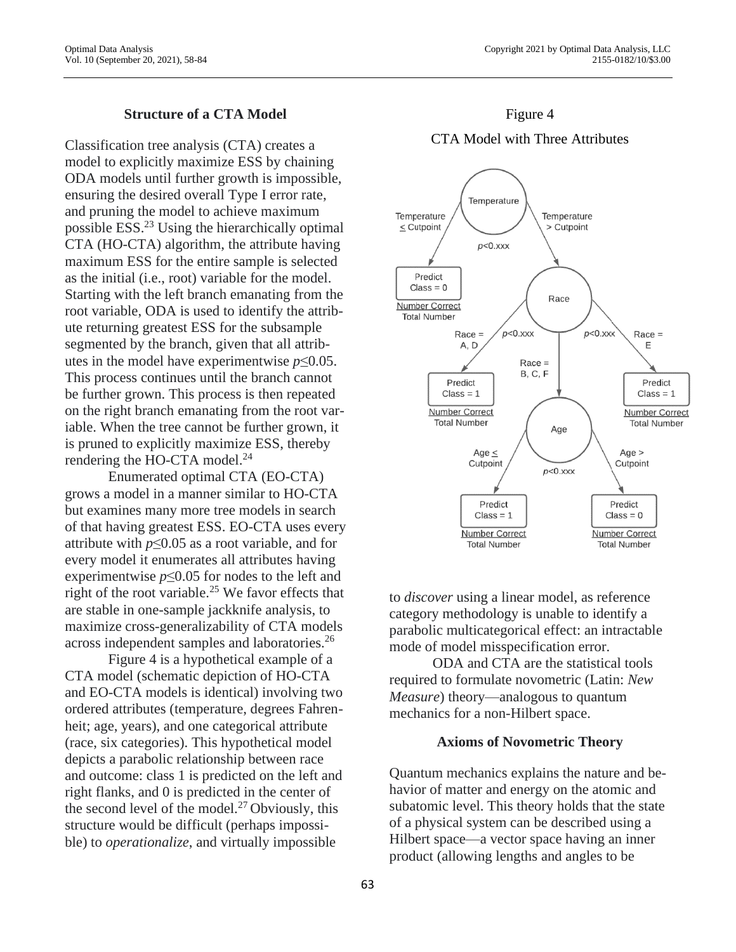### **Structure of a CTA Model**

Classification tree analysis (CTA) creates a model to explicitly maximize ESS by chaining ODA models until further growth is impossible, ensuring the desired overall Type I error rate, and pruning the model to achieve maximum possible ESS.<sup>23</sup> Using the hierarchically optimal CTA (HO-CTA) algorithm, the attribute having maximum ESS for the entire sample is selected as the initial (i.e., root) variable for the model. Starting with the left branch emanating from the root variable, ODA is used to identify the attribute returning greatest ESS for the subsample segmented by the branch, given that all attributes in the model have experimentwise *p*≤0.05. This process continues until the branch cannot be further grown. This process is then repeated on the right branch emanating from the root variable. When the tree cannot be further grown, it is pruned to explicitly maximize ESS, thereby rendering the HO-CTA model. $^{24}$ 

Enumerated optimal CTA (EO-CTA) grows a model in a manner similar to HO-CTA but examines many more tree models in search of that having greatest ESS. EO-CTA uses every attribute with  $p \leq 0.05$  as a root variable, and for every model it enumerates all attributes having experimentwise *p*≤0.05 for nodes to the left and right of the root variable.<sup>25</sup> We favor effects that are stable in one-sample jackknife analysis, to maximize cross-generalizability of CTA models across independent samples and laboratories.<sup>26</sup>

Figure 4 is a hypothetical example of a CTA model (schematic depiction of HO-CTA and EO-CTA models is identical) involving two ordered attributes (temperature, degrees Fahrenheit; age, years), and one categorical attribute (race, six categories). This hypothetical model depicts a parabolic relationship between race and outcome: class 1 is predicted on the left and right flanks, and 0 is predicted in the center of the second level of the model. $27$  Obviously, this structure would be difficult (perhaps impossible) to *operationalize*, and virtually impossible



### CTA Model with Three Attributes



to *discover* using a linear model, as reference category methodology is unable to identify a parabolic multicategorical effect: an intractable mode of model misspecification error.

ODA and CTA are the statistical tools required to formulate novometric (Latin: *New Measure*) theory—analogous to quantum mechanics for a non-Hilbert space.

### **Axioms of Novometric Theory**

Quantum mechanics explains the nature and behavior of matter and energy on the atomic and subatomic level. This theory holds that the state of a physical system can be described using a Hilbert space—a vector space having an inner product (allowing lengths and angles to be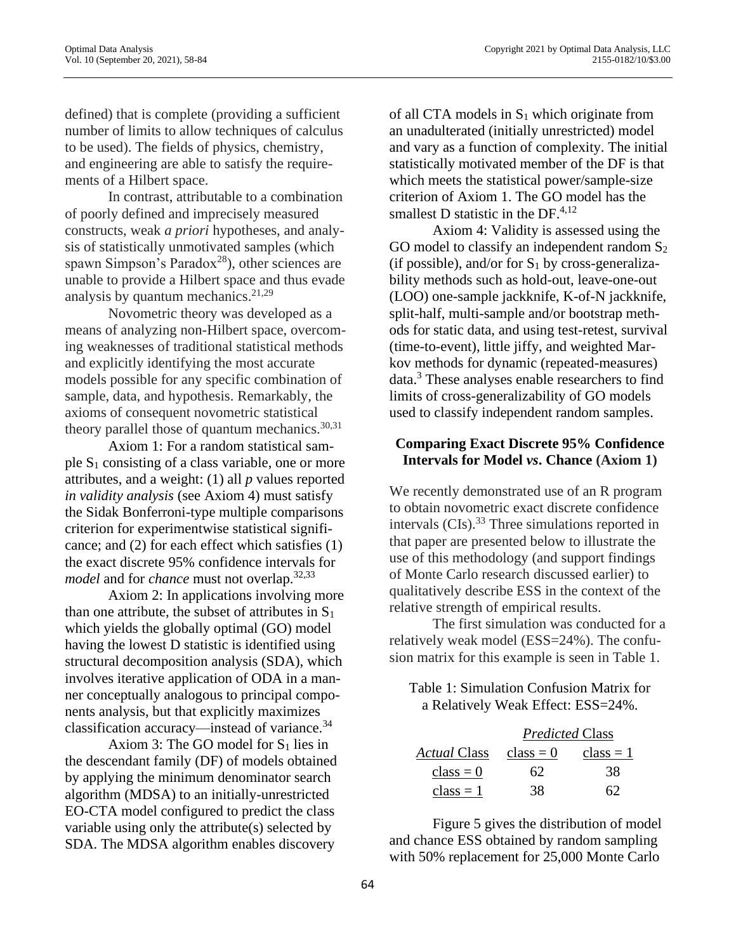defined) that is complete (providing a sufficient number of limits to allow techniques of calculus to be used). The fields of physics, chemistry, and engineering are able to satisfy the requirements of a Hilbert space.

In contrast, attributable to a combination of poorly defined and imprecisely measured constructs, weak *a priori* hypotheses, and analysis of statistically unmotivated samples (which spawn Simpson's Paradox<sup>28</sup>), other sciences are unable to provide a Hilbert space and thus evade analysis by quantum mechanics.<sup>21,29</sup>

Novometric theory was developed as a means of analyzing non-Hilbert space, overcoming weaknesses of traditional statistical methods and explicitly identifying the most accurate models possible for any specific combination of sample, data, and hypothesis. Remarkably, the axioms of consequent novometric statistical theory parallel those of quantum mechanics.<sup>30,31</sup>

Axiom 1: For a random statistical sample  $S_1$  consisting of a class variable, one or more attributes, and a weight: (1) all *p* values reported *in validity analysis* (see Axiom 4) must satisfy the Sidak Bonferroni-type multiple comparisons criterion for experimentwise statistical significance; and (2) for each effect which satisfies (1) the exact discrete 95% confidence intervals for *model* and for *chance* must not overlap.32,33

Axiom 2: In applications involving more than one attribute, the subset of attributes in  $S_1$ which yields the globally optimal (GO) model having the lowest D statistic is identified using structural decomposition analysis (SDA), which involves iterative application of ODA in a manner conceptually analogous to principal components analysis, but that explicitly maximizes classification accuracy—instead of variance. $34$ 

Axiom 3: The GO model for  $S_1$  lies in the descendant family (DF) of models obtained by applying the minimum denominator search algorithm (MDSA) to an initially-unrestricted EO-CTA model configured to predict the class variable using only the attribute(s) selected by SDA. The MDSA algorithm enables discovery

of all CTA models in  $S_1$  which originate from an unadulterated (initially unrestricted) model and vary as a function of complexity. The initial statistically motivated member of the DF is that which meets the statistical power/sample-size criterion of Axiom 1. The GO model has the smallest D statistic in the DF.<sup>4,12</sup>

Axiom 4: Validity is assessed using the GO model to classify an independent random  $S_2$ (if possible), and/or for  $S_1$  by cross-generalizability methods such as hold-out, leave-one-out (LOO) one-sample jackknife, K-of-N jackknife, split-half, multi-sample and/or bootstrap methods for static data, and using test-retest, survival (time-to-event), little jiffy, and weighted Markov methods for dynamic (repeated-measures)  $data<sup>3</sup>$ . These analyses enable researchers to find limits of cross-generalizability of GO models used to classify independent random samples.

# **Comparing Exact Discrete 95% Confidence Intervals for Model** *vs***. Chance (Axiom 1)**

We recently demonstrated use of an R program to obtain novometric exact discrete confidence intervals  $(CIs).^{33}$  Three simulations reported in that paper are presented below to illustrate the use of this methodology (and support findings of Monte Carlo research discussed earlier) to qualitatively describe ESS in the context of the relative strength of empirical results.

The first simulation was conducted for a relatively weak model (ESS=24%). The confusion matrix for this example is seen in Table 1.

Table 1: Simulation Confusion Matrix for a Relatively Weak Effect: ESS=24%.

|                     | <b>Predicted Class</b> |             |
|---------------------|------------------------|-------------|
| <i>Actual</i> Class | $class = 0$            | $class = 1$ |
| $class = 0$         | 62                     | 38          |
| $class = 1$         | 38                     |             |

Figure 5 gives the distribution of model and chance ESS obtained by random sampling with 50% replacement for 25,000 Monte Carlo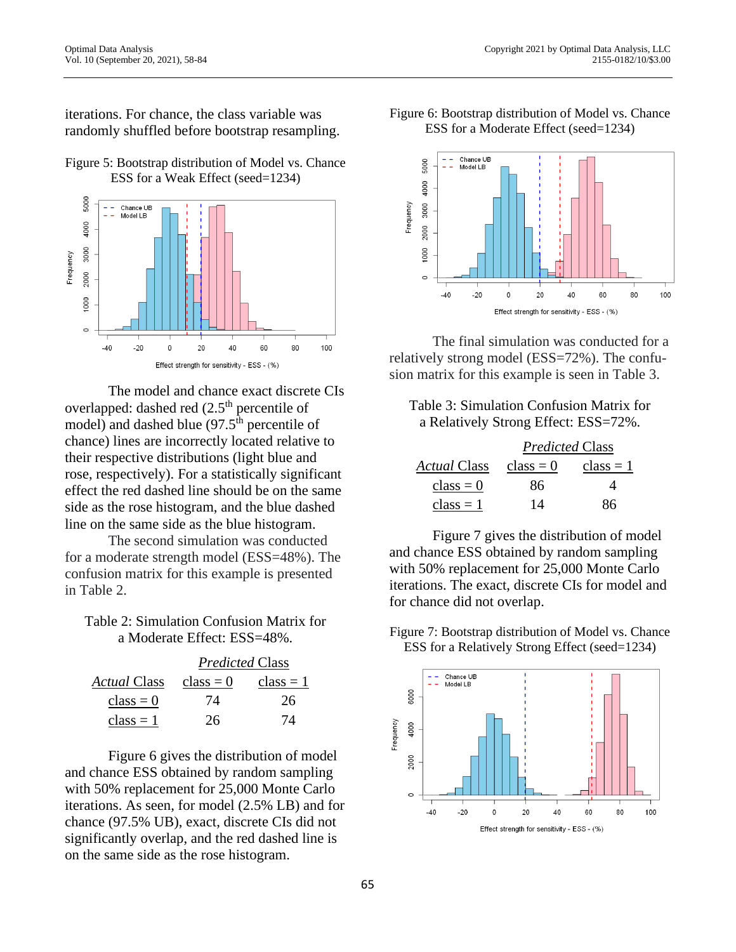iterations. For chance, the class variable was randomly shuffled before bootstrap resampling.





The model and chance exact discrete CIs overlapped: dashed red (2.5<sup>th</sup> percentile of model) and dashed blue  $(97.5<sup>th</sup>$  percentile of chance) lines are incorrectly located relative to their respective distributions (light blue and rose, respectively). For a statistically significant effect the red dashed line should be on the same side as the rose histogram, and the blue dashed line on the same side as the blue histogram.

The second simulation was conducted for a moderate strength model (ESS=48%). The confusion matrix for this example is presented in Table 2.

### Table 2: Simulation Confusion Matrix for a Moderate Effect: ESS=48%.

|                     | <b>Predicted Class</b> |             |
|---------------------|------------------------|-------------|
| <i>Actual</i> Class | $class = 0$            | $class = 1$ |
| $class = 0$         | 74                     | 26          |
| $class = 1$         | 26                     | 74          |

Figure 6 gives the distribution of model and chance ESS obtained by random sampling with 50% replacement for 25,000 Monte Carlo iterations. As seen, for model (2.5% LB) and for chance (97.5% UB), exact, discrete CIs did not significantly overlap, and the red dashed line is on the same side as the rose histogram.

Figure 6: Bootstrap distribution of Model vs. Chance ESS for a Moderate Effect (seed=1234)



The final simulation was conducted for a relatively strong model (ESS=72%). The confusion matrix for this example is seen in Table 3.

Table 3: Simulation Confusion Matrix for a Relatively Strong Effect: ESS=72%.

|              | <b>Predicted Class</b> |             |
|--------------|------------------------|-------------|
| Actual Class | $class = 0$            | $class = 1$ |
| $class = 0$  | 86                     |             |
| $class = 1$  | 14                     | 86          |

Figure 7 gives the distribution of model and chance ESS obtained by random sampling with 50% replacement for 25,000 Monte Carlo iterations. The exact, discrete CIs for model and for chance did not overlap.

Figure 7: Bootstrap distribution of Model vs. Chance ESS for a Relatively Strong Effect (seed=1234)

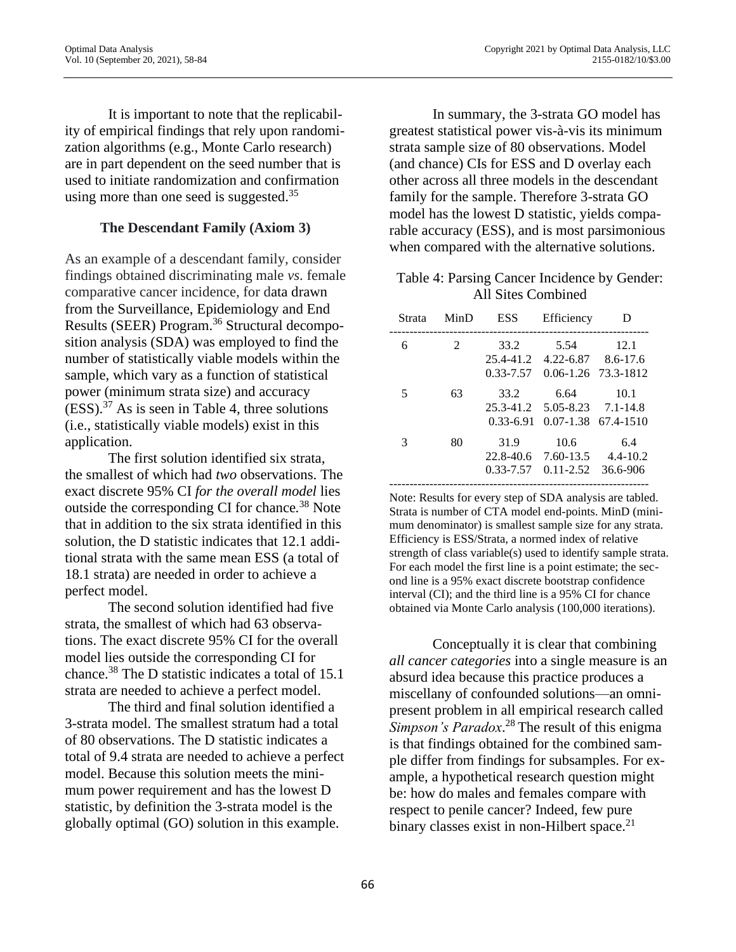It is important to note that the replicability of empirical findings that rely upon randomization algorithms (e.g., Monte Carlo research) are in part dependent on the seed number that is used to initiate randomization and confirmation using more than one seed is suggested.<sup>35</sup>

### **The Descendant Family (Axiom 3)**

As an example of a descendant family, consider findings obtained discriminating male *vs*. female comparative cancer incidence, for data drawn from the Surveillance, Epidemiology and End Results (SEER) Program. <sup>36</sup> Structural decomposition analysis (SDA) was employed to find the number of statistically viable models within the sample, which vary as a function of statistical power (minimum strata size) and accuracy  $(ESS).$ <sup>37</sup> As is seen in Table 4, three solutions (i.e., statistically viable models) exist in this application.

The first solution identified six strata, the smallest of which had *two* observations. The exact discrete 95% CI *for the overall model* lies outside the corresponding CI for chance*.* <sup>38</sup> Note that in addition to the six strata identified in this solution, the D statistic indicates that 12.1 additional strata with the same mean ESS (a total of 18.1 strata) are needed in order to achieve a perfect model.

The second solution identified had five strata, the smallest of which had 63 observations. The exact discrete 95% CI for the overall model lies outside the corresponding CI for chance.<sup>38</sup> The D statistic indicates a total of 15.1 strata are needed to achieve a perfect model.

The third and final solution identified a 3-strata model. The smallest stratum had a total of 80 observations. The D statistic indicates a total of 9.4 strata are needed to achieve a perfect model. Because this solution meets the minimum power requirement and has the lowest D statistic, by definition the 3-strata model is the globally optimal (GO) solution in this example.

In summary, the 3-strata GO model has greatest statistical power vis-à-vis its minimum strata sample size of 80 observations. Model (and chance) CIs for ESS and D overlay each other across all three models in the descendant family for the sample. Therefore 3-strata GO model has the lowest D statistic, yields comparable accuracy (ESS), and is most parsimonious when compared with the alternative solutions.

### Table 4: Parsing Cancer Incidence by Gender: All Sites Combined

| Strata | MinD           | <b>ESS</b>                                      | Efficiency                                          | Ð                                              |
|--------|----------------|-------------------------------------------------|-----------------------------------------------------|------------------------------------------------|
| 6      | $\mathfrak{D}$ | 33.2<br>25.4-41.2                               | 5.54<br>$4.22 - 6.87$                               | 12.1<br>$8.6 - 17.6$                           |
| 5      | 63             | 0.33-7.57<br>33.2<br>25.3-41.2<br>$0.33 - 6.91$ | $0.06 - 1.26$<br>6.64<br>5.05-8.23<br>$0.07 - 1.38$ | 73.3-1812<br>10.1<br>$7.1 - 14.8$<br>67.4-1510 |
| 3      | 80             | 31.9<br>22.8-40.6<br>0.33-7.57                  | 10.6<br>7.60-13.5<br>$0.11 - 2.52$                  | 6.4<br>$4.4 - 10.2$<br>36.6-906                |
|        |                |                                                 |                                                     |                                                |

Note: Results for every step of SDA analysis are tabled. Strata is number of CTA model end-points. MinD (minimum denominator) is smallest sample size for any strata. Efficiency is ESS/Strata, a normed index of relative strength of class variable(s) used to identify sample strata. For each model the first line is a point estimate; the second line is a 95% exact discrete bootstrap confidence interval (CI); and the third line is a 95% CI for chance obtained via Monte Carlo analysis (100,000 iterations).

Conceptually it is clear that combining *all cancer categories* into a single measure is an absurd idea because this practice produces a miscellany of confounded solutions—an omnipresent problem in all empirical research called Simpson's Paradox.<sup>28</sup> The result of this enigma is that findings obtained for the combined sample differ from findings for subsamples. For example, a hypothetical research question might be: how do males and females compare with respect to penile cancer? Indeed, few pure binary classes exist in non-Hilbert space. $21$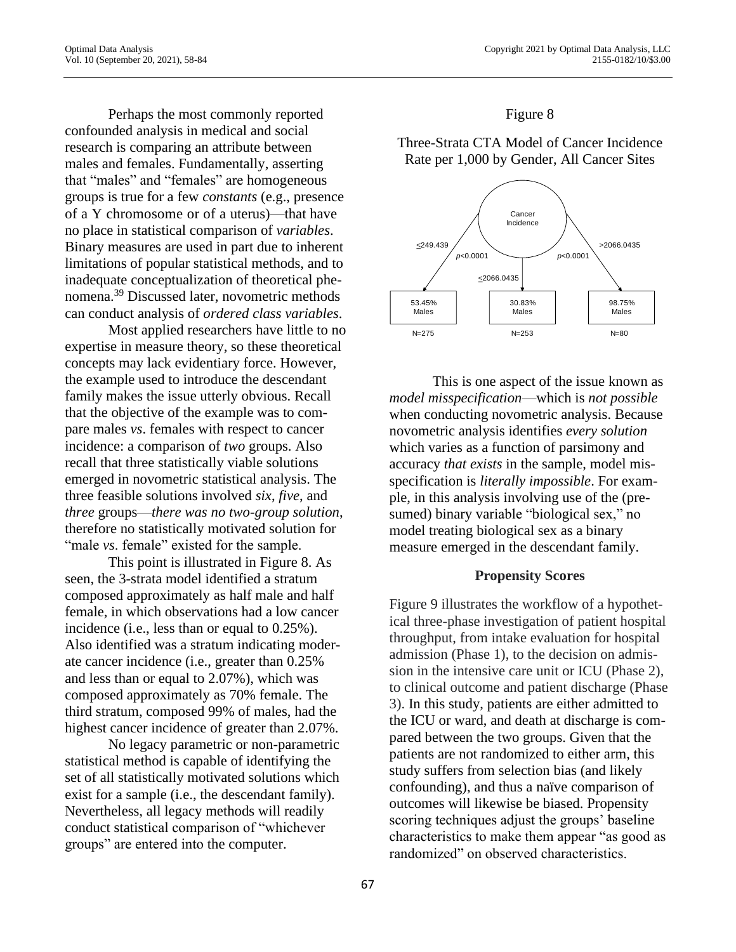Perhaps the most commonly reported confounded analysis in medical and social research is comparing an attribute between males and females. Fundamentally, asserting that "males" and "females" are homogeneous groups is true for a few *constants* (e.g., presence of a Y chromosome or of a uterus)—that have no place in statistical comparison of *variables*. Binary measures are used in part due to inherent limitations of popular statistical methods, and to inadequate conceptualization of theoretical phenomena.<sup>39</sup> Discussed later, novometric methods can conduct analysis of *ordered class variables*.

Most applied researchers have little to no expertise in measure theory, so these theoretical concepts may lack evidentiary force. However, the example used to introduce the descendant family makes the issue utterly obvious. Recall that the objective of the example was to compare males *vs*. females with respect to cancer incidence: a comparison of *two* groups. Also recall that three statistically viable solutions emerged in novometric statistical analysis. The three feasible solutions involved *six*, *five*, and *three* groups—*there was no two-group solution*, therefore no statistically motivated solution for "male *vs*. female" existed for the sample.

This point is illustrated in Figure 8. As seen, the 3-strata model identified a stratum composed approximately as half male and half female, in which observations had a low cancer incidence (i.e., less than or equal to 0.25%). Also identified was a stratum indicating moderate cancer incidence (i.e., greater than 0.25% and less than or equal to 2.07%), which was composed approximately as 70% female. The third stratum, composed 99% of males, had the highest cancer incidence of greater than 2.07%.

No legacy parametric or non-parametric statistical method is capable of identifying the set of all statistically motivated solutions which exist for a sample (i.e., the descendant family). Nevertheless, all legacy methods will readily conduct statistical comparison of "whichever groups" are entered into the computer.

### Figure 8

Three-Strata CTA Model of Cancer Incidence Rate per 1,000 by Gender, All Cancer Sites



This is one aspect of the issue known as *model misspecification*—which is *not possible* when conducting novometric analysis. Because novometric analysis identifies *every solution* which varies as a function of parsimony and accuracy *that exists* in the sample, model misspecification is *literally impossible*. For example, in this analysis involving use of the (presumed) binary variable "biological sex," no model treating biological sex as a binary measure emerged in the descendant family.

### **Propensity Scores**

Figure 9 illustrates the workflow of a hypothetical three-phase investigation of patient hospital throughput, from intake evaluation for hospital admission (Phase 1), to the decision on admission in the intensive care unit or ICU (Phase 2), to clinical outcome and patient discharge (Phase 3). In this study, patients are either admitted to the ICU or ward, and death at discharge is compared between the two groups. Given that the patients are not randomized to either arm, this study suffers from selection bias (and likely confounding), and thus a naïve comparison of outcomes will likewise be biased. Propensity scoring techniques adjust the groups' baseline characteristics to make them appear "as good as randomized" on observed characteristics.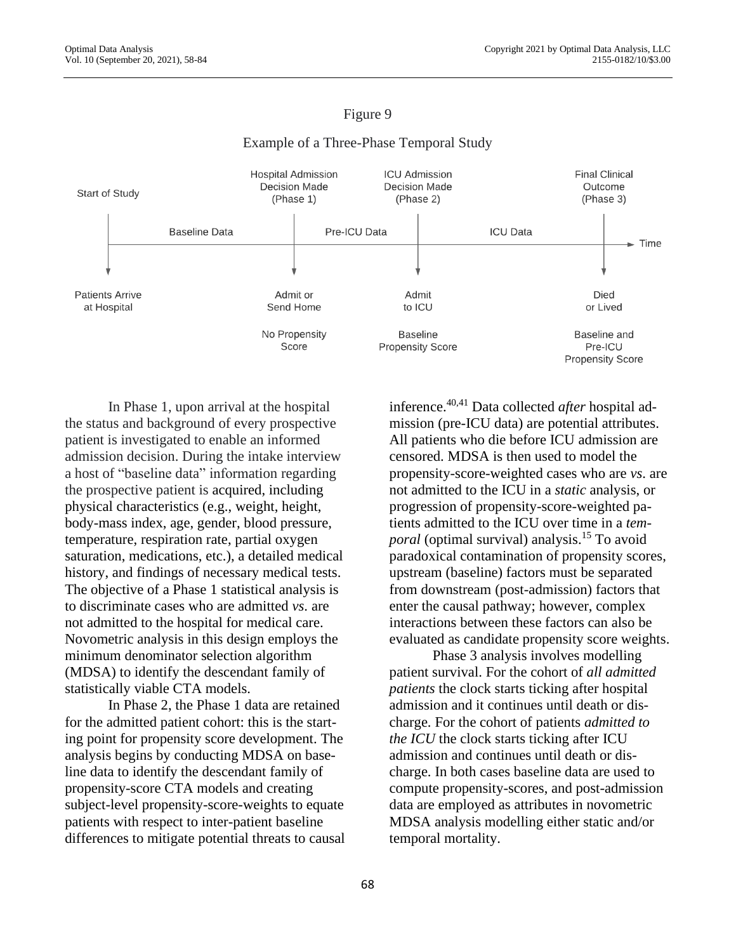### Figure 9

#### **Hospital Admission ICU Admission Final Clinical Decision Made Decision Made** Outcome Start of Study (Phase 1) (Phase 2) (Phase 3) **Baseline Data** Pre-ICU Data **ICU Data**  $\overline{\phantom{a}}$  Time **Patients Arrive** Admit or Admit Died at Hospital Send Home to ICU or Lived No Propensity **Baseline** Baseline and Score **Propensity Score** Pre-ICU **Propensity Score**

### Example of a Three-Phase Temporal Study

In Phase 1, upon arrival at the hospital the status and background of every prospective patient is investigated to enable an informed admission decision. During the intake interview a host of "baseline data" information regarding the prospective patient is acquired, including physical characteristics (e.g., weight, height, body-mass index, age, gender, blood pressure, temperature, respiration rate, partial oxygen saturation, medications, etc.), a detailed medical history, and findings of necessary medical tests. The objective of a Phase 1 statistical analysis is to discriminate cases who are admitted *vs*. are not admitted to the hospital for medical care. Novometric analysis in this design employs the minimum denominator selection algorithm (MDSA) to identify the descendant family of statistically viable CTA models.

In Phase 2, the Phase 1 data are retained for the admitted patient cohort: this is the starting point for propensity score development. The analysis begins by conducting MDSA on baseline data to identify the descendant family of propensity-score CTA models and creating subject-level propensity-score-weights to equate patients with respect to inter-patient baseline differences to mitigate potential threats to causal inference.40,41 Data collected *after* hospital admission (pre-ICU data) are potential attributes. All patients who die before ICU admission are censored. MDSA is then used to model the propensity-score-weighted cases who are *vs*. are not admitted to the ICU in a *static* analysis, or progression of propensity-score-weighted patients admitted to the ICU over time in a *temporal* (optimal survival) analysis. <sup>15</sup> To avoid paradoxical contamination of propensity scores, upstream (baseline) factors must be separated from downstream (post-admission) factors that enter the causal pathway; however, complex interactions between these factors can also be evaluated as candidate propensity score weights.

Phase 3 analysis involves modelling patient survival. For the cohort of *all admitted patients* the clock starts ticking after hospital admission and it continues until death or discharge. For the cohort of patients *admitted to the ICU* the clock starts ticking after ICU admission and continues until death or discharge. In both cases baseline data are used to compute propensity-scores, and post-admission data are employed as attributes in novometric MDSA analysis modelling either static and/or temporal mortality.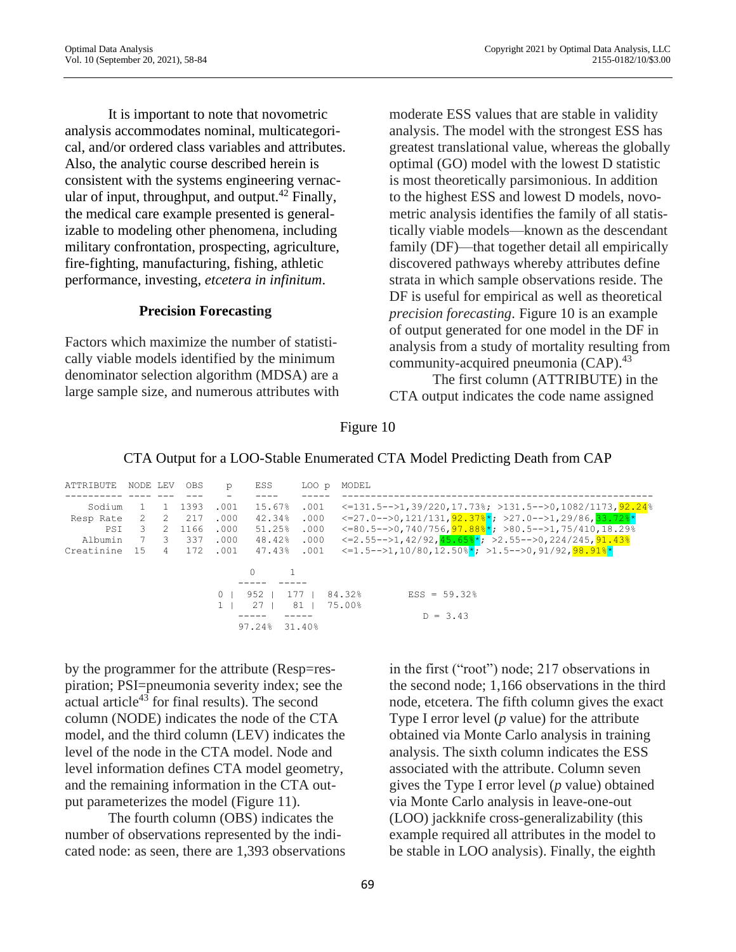It is important to note that novometric analysis accommodates nominal, multicategorical, and/or ordered class variables and attributes. Also, the analytic course described herein is consistent with the systems engineering vernacular of input, throughput, and output.<sup>42</sup> Finally, the medical care example presented is generalizable to modeling other phenomena, including military confrontation, prospecting, agriculture, fire-fighting, manufacturing, fishing, athletic performance, investing, *etcetera in infinitum*.

### **Precision Forecasting**

Factors which maximize the number of statistically viable models identified by the minimum denominator selection algorithm (MDSA) are a large sample size, and numerous attributes with

moderate ESS values that are stable in validity analysis. The model with the strongest ESS has greatest translational value, whereas the globally optimal (GO) model with the lowest D statistic is most theoretically parsimonious. In addition to the highest ESS and lowest D models, novometric analysis identifies the family of all statistically viable models—known as the descendant family (DF)—that together detail all empirically discovered pathways whereby attributes define strata in which sample observations reside. The DF is useful for empirical as well as theoretical *precision forecasting*. Figure 10 is an example of output generated for one model in the DF in analysis from a study of mortality resulting from community-acquired pneumonia (CAP).<sup>43</sup>

The first column (ATTRIBUTE) in the CTA output indicates the code name assigned

### Figure 10

|               |          |         |       |                 |       | <u>chil carbariol who coment manufacture</u> chillices in the came home city             |
|---------------|----------|---------|-------|-----------------|-------|------------------------------------------------------------------------------------------|
| ATTRIBUTE     | NODE LEV | OBS     | p     | ESS             | LOO p | MODEL                                                                                    |
| Sodium        |          | 1 1393  | .001  | 15.67%          | .001  | $\langle 131.5 - - \rangle 1, 39/220, 17.73$ ; $> 131.5 - - \rangle 0, 1082/1173, 92.24$ |
| Resp Rate     | 2 2 2 17 |         | .000  | 42.34%          | .000  | <=27.0-->0,121/131, <mark>92.37%*</mark> ; >27.0-->1,29/86, <mark>33.72%</mark> *        |
| PSI           | 3        | 2 1166  | .000  | 51.25%          | .000  | <=80.5-->0,740/756, <mark>97.88%*</mark> ; >80.5-->1,75/410,18.29%                       |
| Albumin       |          | 7 3 337 | .000  | 48.42%          | .000  | $\langle 2.55--2.42/92, 45.65\frac{*}{7}; 2.55--20, 224/245, 91.43\frac{3}{7} \rangle$   |
| Creatinine 15 |          | 4 172   | .001  | 47.43%          | .001  | <=1.5-->1,10/80,12.50% <mark>*</mark> ; >1.5-->0,91/92, <mark>98.91%</mark> *            |
|               |          |         |       | $\Omega$        |       |                                                                                          |
|               |          |         |       |                 |       |                                                                                          |
|               |          |         | $0-1$ | $952$  <br>177  |       | 84.32%<br>$ESS = 59.32$                                                                  |
|               |          |         |       | 27 <sub>1</sub> | 81    | 75.00%                                                                                   |

 $D = 3.43$ 

# CTA Output for a LOO-Stable Enumerated CTA Model Predicting Death from CAP

by the programmer for the attribute (Resp=respiration; PSI=pneumonia severity index; see the actual article <sup>43</sup> for final results). The second column (NODE) indicates the node of the CTA model, and the third column (LEV) indicates the level of the node in the CTA model. Node and level information defines CTA model geometry, and the remaining information in the CTA output parameterizes the model (Figure 11).

97.24% 31.40%

The fourth column (OBS) indicates the number of observations represented by the indicated node: as seen, there are 1,393 observations in the first ("root") node; 217 observations in the second node; 1,166 observations in the third node, etcetera. The fifth column gives the exact Type I error level (*p* value) for the attribute obtained via Monte Carlo analysis in training analysis. The sixth column indicates the ESS associated with the attribute. Column seven gives the Type I error level (*p* value) obtained via Monte Carlo analysis in leave-one-out (LOO) jackknife cross-generalizability (this example required all attributes in the model to be stable in LOO analysis). Finally, the eighth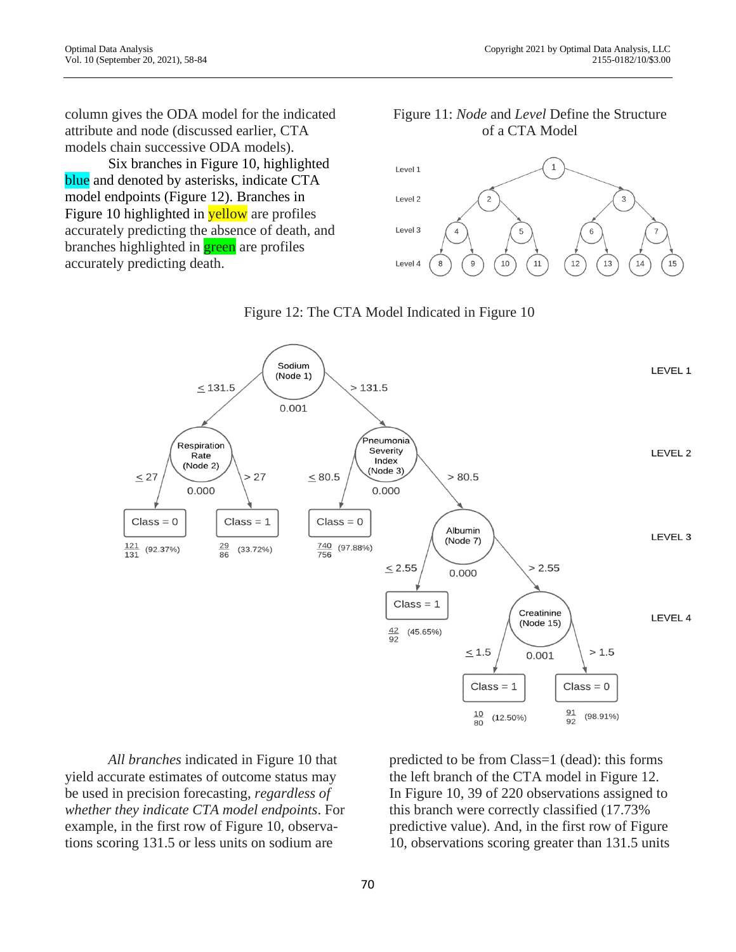column gives the ODA model for the indicated attribute and node (discussed earlier, CTA models chain successive ODA models).

Six branches in Figure 10, highlighted blue and denoted by asterisks, indicate CTA model endpoints (Figure 12). Branches in Figure 10 highlighted in **yellow** are profiles accurately predicting the absence of death, and branches highlighted in **green** are profiles accurately predicting death.

Figure 11: *Node* and *Level* Define the Structure of a CTA Model



Figure 12: The CTA Model Indicated in Figure 10



*All branches* indicated in Figure 10 that yield accurate estimates of outcome status may be used in precision forecasting, *regardless of whether they indicate CTA model endpoints*. For example, in the first row of Figure 10, observations scoring 131.5 or less units on sodium are

predicted to be from Class=1 (dead): this forms the left branch of the CTA model in Figure 12. In Figure 10, 39 of 220 observations assigned to this branch were correctly classified (17.73% predictive value). And, in the first row of Figure 10, observations scoring greater than 131.5 units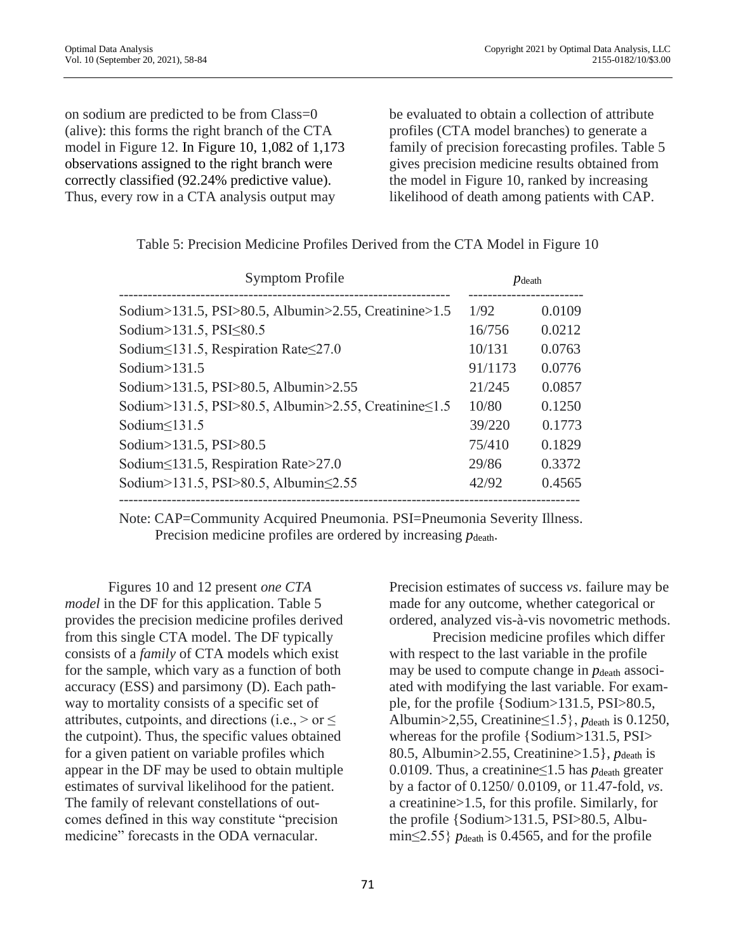on sodium are predicted to be from Class=0 (alive): this forms the right branch of the CTA model in Figure 12. In Figure 10, 1,082 of 1,173 observations assigned to the right branch were correctly classified (92.24% predictive value). Thus, every row in a CTA analysis output may

be evaluated to obtain a collection of attribute profiles (CTA model branches) to generate a family of precision forecasting profiles. Table 5 gives precision medicine results obtained from the model in Figure 10, ranked by increasing likelihood of death among patients with CAP.

| <b>Symptom Profile</b>                               |         | $p_{\text{death}}$ |
|------------------------------------------------------|---------|--------------------|
| Sodium>131.5, PSI>80.5, Albumin>2.55, Creatinine>1.5 | 1/92    | 0.0109             |
| Sodium>131.5, PSI $\leq$ 80.5                        | 16/756  | 0.0212             |
| Sodium $\leq$ 131.5, Respiration Rate $\leq$ 27.0    | 10/131  | 0.0763             |
| Sodium $>131.5$                                      | 91/1173 | 0.0776             |
| Sodium>131.5, PSI>80.5, Albumin>2.55                 | 21/245  | 0.0857             |
| Sodium>131.5, PSI>80.5, Albumin>2.55, Creatinine≤1.5 | 10/80   | 0.1250             |
| Sodium $\leq$ 131.5                                  | 39/220  | 0.1773             |
| Sodium>131.5, PSI>80.5                               | 75/410  | 0.1829             |
| Sodium  strate > 27.0                                | 29/86   | 0.3372             |
| Sodium>131.5, PSI>80.5, Albumin  small               | 42/92   | 0.4565             |

|  | Table 5: Precision Medicine Profiles Derived from the CTA Model in Figure 10 |  |  |  |
|--|------------------------------------------------------------------------------|--|--|--|
|--|------------------------------------------------------------------------------|--|--|--|

 Note: CAP=Community Acquired Pneumonia. PSI=Pneumonia Severity Illness. Precision medicine profiles are ordered by increasing  $p_{\text{death}}$ .

Figures 10 and 12 present *one CTA model* in the DF for this application. Table 5 provides the precision medicine profiles derived from this single CTA model. The DF typically consists of a *family* of CTA models which exist for the sample, which vary as a function of both accuracy (ESS) and parsimony (D). Each pathway to mortality consists of a specific set of attributes, cutpoints, and directions (i.e.,  $>$  or  $\leq$ the cutpoint). Thus, the specific values obtained for a given patient on variable profiles which appear in the DF may be used to obtain multiple estimates of survival likelihood for the patient. The family of relevant constellations of outcomes defined in this way constitute "precision medicine" forecasts in the ODA vernacular.

Precision estimates of success *vs*. failure may be made for any outcome, whether categorical or ordered, analyzed vis-à-vis novometric methods.

Precision medicine profiles which differ with respect to the last variable in the profile may be used to compute change in  $p_{\text{death}}$  associated with modifying the last variable. For example, for the profile {Sodium>131.5, PSI>80.5, Albumin>2,55, Creatinine≤1.5}, *p*death is 0.1250, whereas for the profile {Sodium>131.5, PSI> 80.5, Albumin>2.55, Creatinine>1.5}, *p*death is 0.0109. Thus, a creatinine  $\leq 1.5$  has  $p_{\text{death}}$  greater by a factor of 0.1250/ 0.0109, or 11.47-fold, *vs*. a creatinine>1.5, for this profile. Similarly, for the profile {Sodium>131.5, PSI>80.5, Albumin $\leq$ 2.55} *p*<sub>death</sub> is 0.4565, and for the profile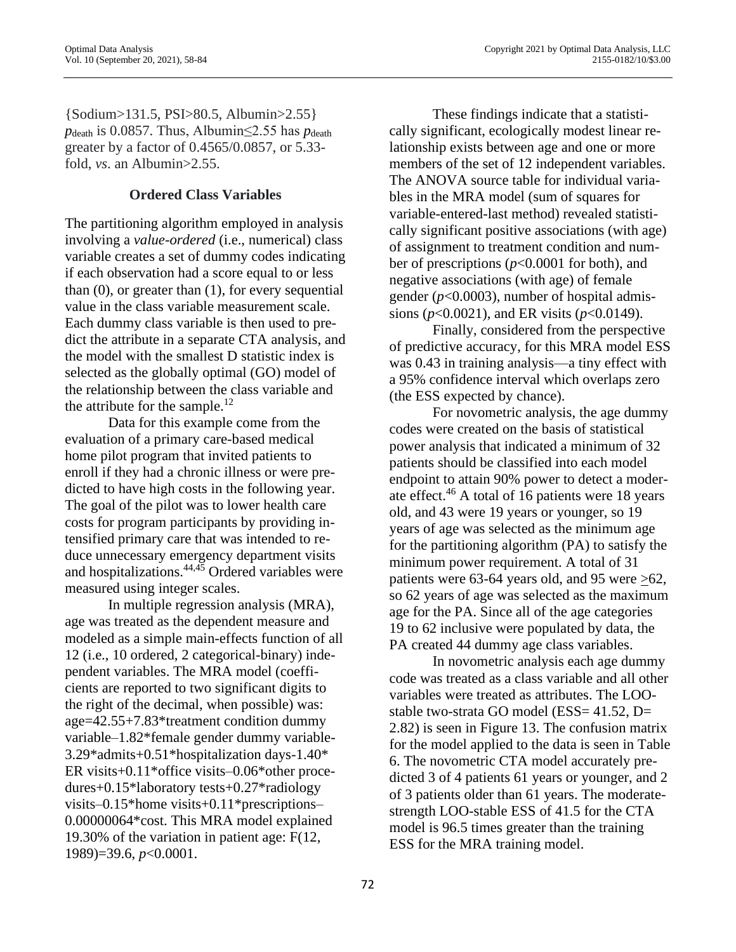{Sodium>131.5, PSI>80.5, Albumin>2.55} *p*<sub>death</sub> is 0.0857. Thus, Albumin $\leq$ 2.55 has *p*<sub>death</sub> greater by a factor of 0.4565/0.0857, or 5.33 fold, *vs*. an Albumin>2.55.

# **Ordered Class Variables**

The partitioning algorithm employed in analysis involving a *value-ordered* (i.e., numerical) class variable creates a set of dummy codes indicating if each observation had a score equal to or less than (0), or greater than (1), for every sequential value in the class variable measurement scale. Each dummy class variable is then used to predict the attribute in a separate CTA analysis, and the model with the smallest D statistic index is selected as the globally optimal (GO) model of the relationship between the class variable and the attribute for the sample. $12$ 

Data for this example come from the evaluation of a primary care-based medical home pilot program that invited patients to enroll if they had a chronic illness or were predicted to have high costs in the following year. The goal of the pilot was to lower health care costs for program participants by providing intensified primary care that was intended to reduce unnecessary emergency department visits and hospitalizations.44,45 Ordered variables were measured using integer scales.

In multiple regression analysis (MRA), age was treated as the dependent measure and modeled as a simple main-effects function of all 12 (i.e., 10 ordered, 2 categorical-binary) independent variables. The MRA model (coefficients are reported to two significant digits to the right of the decimal, when possible) was: age=42.55+7.83\*treatment condition dummy variable–1.82\*female gender dummy variable-3.29\*admits+0.51\*hospitalization days-1.40\* ER visits+0.11\*office visits–0.06\*other procedures+0.15\*laboratory tests+0.27\*radiology visits–0.15\*home visits+0.11\*prescriptions– 0.00000064\*cost. This MRA model explained 19.30% of the variation in patient age: F(12, 1989)=39.6, *p*<0.0001.

These findings indicate that a statistically significant, ecologically modest linear relationship exists between age and one or more members of the set of 12 independent variables. The ANOVA source table for individual variables in the MRA model (sum of squares for variable-entered-last method) revealed statistically significant positive associations (with age) of assignment to treatment condition and number of prescriptions (*p*<0.0001 for both), and negative associations (with age) of female gender (*p*<0.0003), number of hospital admissions (*p*<0.0021), and ER visits (*p*<0.0149).

Finally, considered from the perspective of predictive accuracy, for this MRA model ESS was 0.43 in training analysis—a tiny effect with a 95% confidence interval which overlaps zero (the ESS expected by chance).

For novometric analysis, the age dummy codes were created on the basis of statistical power analysis that indicated a minimum of 32 patients should be classified into each model endpoint to attain 90% power to detect a moderate effect.<sup>46</sup> A total of 16 patients were 18 years old, and 43 were 19 years or younger, so 19 years of age was selected as the minimum age for the partitioning algorithm (PA) to satisfy the minimum power requirement. A total of 31 patients were 63-64 years old, and 95 were >62, so 62 years of age was selected as the maximum age for the PA. Since all of the age categories 19 to 62 inclusive were populated by data, the PA created 44 dummy age class variables.

In novometric analysis each age dummy code was treated as a class variable and all other variables were treated as attributes. The LOOstable two-strata GO model (ESS= 41.52, D= 2.82) is seen in Figure 13. The confusion matrix for the model applied to the data is seen in Table 6. The novometric CTA model accurately predicted 3 of 4 patients 61 years or younger, and 2 of 3 patients older than 61 years. The moderatestrength LOO-stable ESS of 41.5 for the CTA model is 96.5 times greater than the training ESS for the MRA training model.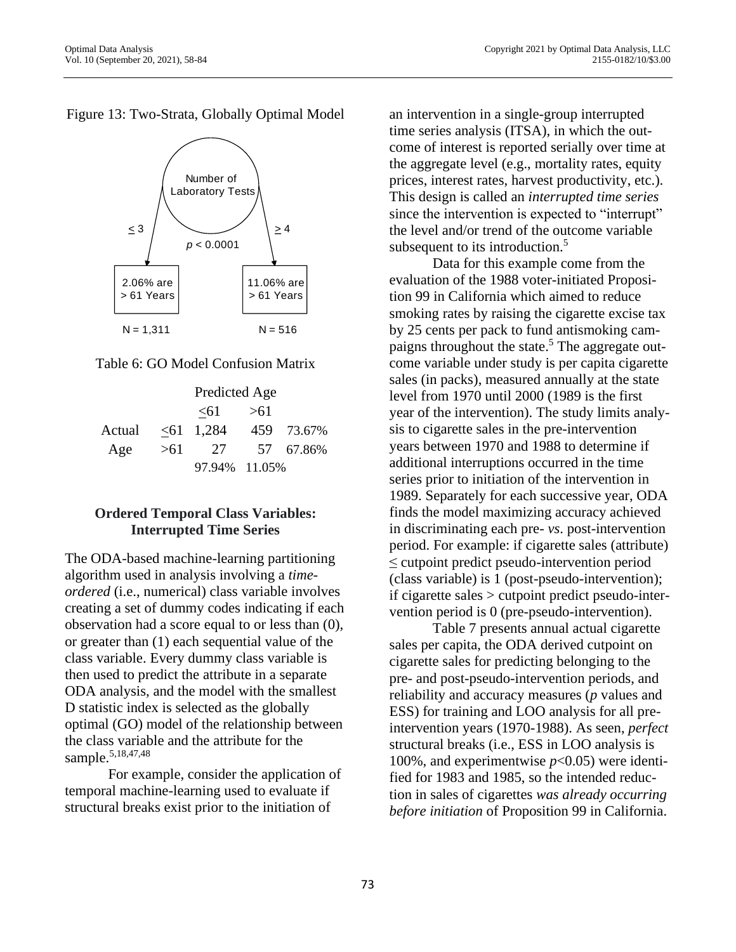Figure 13: Two-Strata, Globally Optimal Model





|                             |      | Predicted Age    |              |
|-----------------------------|------|------------------|--------------|
|                             |      | $\leq 61$ $> 61$ |              |
| Actual <61 1,284 459 73.67% |      |                  |              |
| Age                         | > 61 |                  | 27 57 67.86% |
|                             |      | 97.94% 11.05%    |              |

# **Ordered Temporal Class Variables: Interrupted Time Series**

The ODA-based machine-learning partitioning algorithm used in analysis involving a *timeordered* (i.e., numerical) class variable involves creating a set of dummy codes indicating if each observation had a score equal to or less than (0), or greater than (1) each sequential value of the class variable. Every dummy class variable is then used to predict the attribute in a separate ODA analysis, and the model with the smallest D statistic index is selected as the globally optimal (GO) model of the relationship between the class variable and the attribute for the sample.<sup>5,18,47,48</sup>

For example, consider the application of temporal machine-learning used to evaluate if structural breaks exist prior to the initiation of

an intervention in a single-group interrupted time series analysis (ITSA), in which the outcome of interest is reported serially over time at the aggregate level (e.g., mortality rates, equity prices, interest rates, harvest productivity, etc.). This design is called an *interrupted time series*  since the intervention is expected to "interrupt" the level and/or trend of the outcome variable subsequent to its introduction.<sup>5</sup>

Data for this example come from the evaluation of the 1988 voter-initiated Proposition 99 in California which aimed to reduce smoking rates by raising the cigarette excise tax by 25 cents per pack to fund antismoking campaigns throughout the state.<sup>5</sup> The aggregate outcome variable under study is per capita cigarette sales (in packs), measured annually at the state level from 1970 until 2000 (1989 is the first year of the intervention). The study limits analysis to cigarette sales in the pre-intervention years between 1970 and 1988 to determine if additional interruptions occurred in the time series prior to initiation of the intervention in 1989. Separately for each successive year, ODA finds the model maximizing accuracy achieved in discriminating each pre- *vs*. post-intervention period. For example: if cigarette sales (attribute) ≤ cutpoint predict pseudo-intervention period (class variable) is 1 (post-pseudo-intervention); if cigarette sales > cutpoint predict pseudo-intervention period is 0 (pre-pseudo-intervention).

Table 7 presents annual actual cigarette sales per capita, the ODA derived cutpoint on cigarette sales for predicting belonging to the pre- and post-pseudo-intervention periods, and reliability and accuracy measures (*p* values and ESS) for training and LOO analysis for all preintervention years (1970-1988). As seen, *perfect* structural breaks (i.e., ESS in LOO analysis is 100%, and experimentwise  $p<0.05$ ) were identified for 1983 and 1985, so the intended reduction in sales of cigarettes *was already occurring before initiation* of Proposition 99 in California.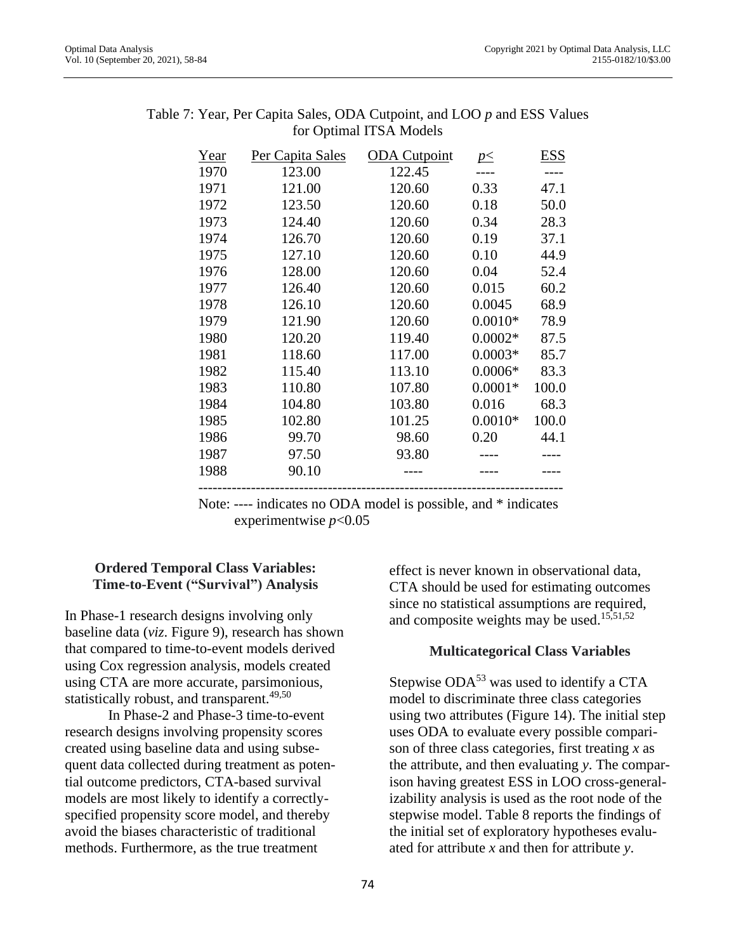| Year | Per Capita Sales | <b>ODA</b> Cutpoint | $p \leq$  | <b>ESS</b> |
|------|------------------|---------------------|-----------|------------|
| 1970 | 123.00           | 122.45              |           |            |
| 1971 | 121.00           | 120.60              | 0.33      | 47.1       |
| 1972 | 123.50           | 120.60              | 0.18      | 50.0       |
| 1973 | 124.40           | 120.60              | 0.34      | 28.3       |
| 1974 | 126.70           | 120.60              | 0.19      | 37.1       |
| 1975 | 127.10           | 120.60              | 0.10      | 44.9       |
| 1976 | 128.00           | 120.60              | 0.04      | 52.4       |
| 1977 | 126.40           | 120.60              | 0.015     | 60.2       |
| 1978 | 126.10           | 120.60              | 0.0045    | 68.9       |
| 1979 | 121.90           | 120.60              | $0.0010*$ | 78.9       |
| 1980 | 120.20           | 119.40              | $0.0002*$ | 87.5       |
| 1981 | 118.60           | 117.00              | $0.0003*$ | 85.7       |
| 1982 | 115.40           | 113.10              | $0.0006*$ | 83.3       |
| 1983 | 110.80           | 107.80              | $0.0001*$ | 100.0      |
| 1984 | 104.80           | 103.80              | 0.016     | 68.3       |
| 1985 | 102.80           | 101.25              | $0.0010*$ | 100.0      |
| 1986 | 99.70            | 98.60               | 0.20      | 44.1       |
| 1987 | 97.50            | 93.80               |           |            |
| 1988 | 90.10            |                     |           |            |
|      |                  |                     |           |            |

| Table 7: Year, Per Capita Sales, ODA Cutpoint, and LOO p and ESS Values |
|-------------------------------------------------------------------------|
| for Optimal ITSA Models                                                 |

 Note: ---- indicates no ODA model is possible, and \* indicates experimentwise *p*<0.05

### **Ordered Temporal Class Variables: Time-to-Event ("Survival") Analysis**

In Phase-1 research designs involving only baseline data (*viz*. Figure 9), research has shown that compared to time-to-event models derived using Cox regression analysis, models created using CTA are more accurate, parsimonious, statistically robust, and transparent.<sup>49,50</sup>

In Phase-2 and Phase-3 time-to-event research designs involving propensity scores created using baseline data and using subsequent data collected during treatment as potential outcome predictors, CTA-based survival models are most likely to identify a correctlyspecified propensity score model, and thereby avoid the biases characteristic of traditional methods. Furthermore, as the true treatment

effect is never known in observational data, CTA should be used for estimating outcomes since no statistical assumptions are required, and composite weights may be used. 15,51,52

# **Multicategorical Class Variables**

Stepwise  $ODA<sup>53</sup>$  was used to identify a CTA model to discriminate three class categories using two attributes (Figure 14). The initial step uses ODA to evaluate every possible comparison of three class categories, first treating *x* as the attribute, and then evaluating *y*. The comparison having greatest ESS in LOO cross-generalizability analysis is used as the root node of the stepwise model. Table 8 reports the findings of the initial set of exploratory hypotheses evaluated for attribute *x* and then for attribute *y*.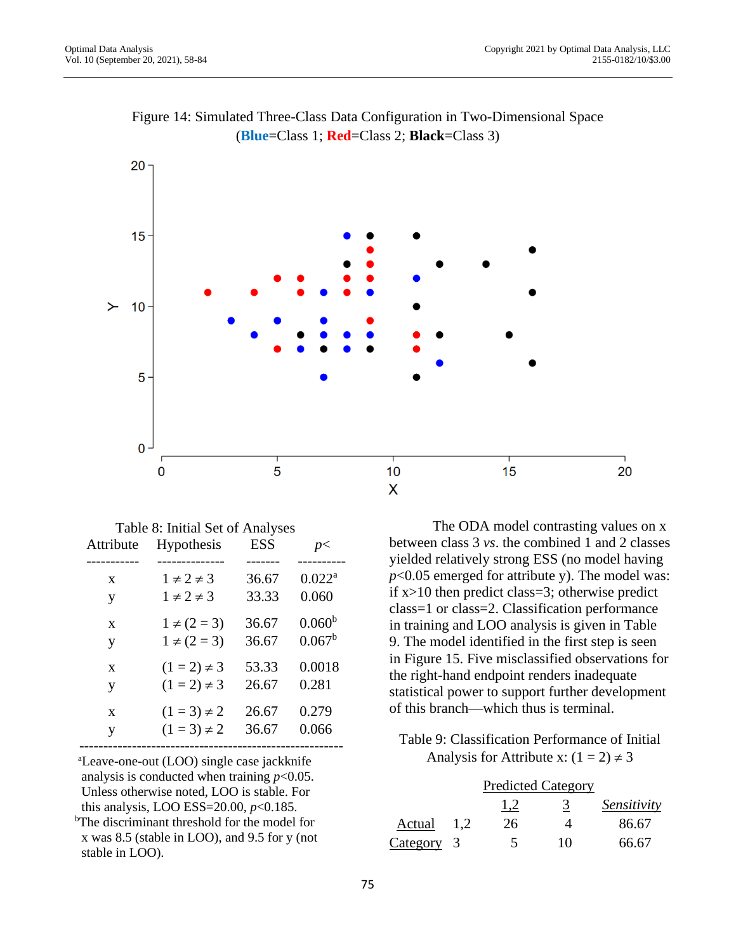

# Figure 14: Simulated Three-Class Data Configuration in Two-Dimensional Space (**Blue**=Class 1; **Red**=Class 2; **Black**=Class 3)

Table 8: Initial Set of Analyses Attribute Hypothesis ESS *p*< ----------- -------------- ------- --------- x  $1 \neq 2 \neq 3$  36.67 0.022<sup>a</sup> y  $1 \neq 2 \neq 3$  33.33 0.060 x  $1 \neq (2 = 3)$  36.67  $0.060^b$ y  $1 \neq (2 = 3)$  36.67  $0.067^b$ x  $(1 = 2) \neq 3$  53.33 0.0018 y  $(1 = 2) \neq 3$  26.67 0.281 x  $(1 = 3) \neq 2$  26.67 0.279

 ------------------------------------------------------ <sup>a</sup>Leave-one-out (LOO) single case jackknife analysis is conducted when training  $p<0.05$ . Unless otherwise noted, LOO is stable. For this analysis, LOO ESS=20.00, *p*<0.185.

y  $(1 = 3) \neq 2$  36.67 0.066

<sup>b</sup>The discriminant threshold for the model for x was 8.5 (stable in LOO), and 9.5 for y (not stable in LOO).

The ODA model contrasting values on x between class 3 *vs*. the combined 1 and 2 classes yielded relatively strong ESS (no model having *p*<0.05 emerged for attribute y). The model was: if x>10 then predict class=3; otherwise predict class=1 or class=2. Classification performance in training and LOO analysis is given in Table 9. The model identified in the first step is seen in Figure 15. Five misclassified observations for the right-hand endpoint renders inadequate statistical power to support further development of this branch—which thus is terminal.

Table 9: Classification Performance of Initial Analysis for Attribute x:  $(1 = 2) \neq 3$ 

|            |     |     | <b>Predicted Category</b> |             |
|------------|-----|-----|---------------------------|-------------|
|            |     | 1.2 |                           | Sensitivity |
| Actual     | 1,2 | 26  |                           | 86.67       |
| Category 3 |     |     | 10                        | 66.67       |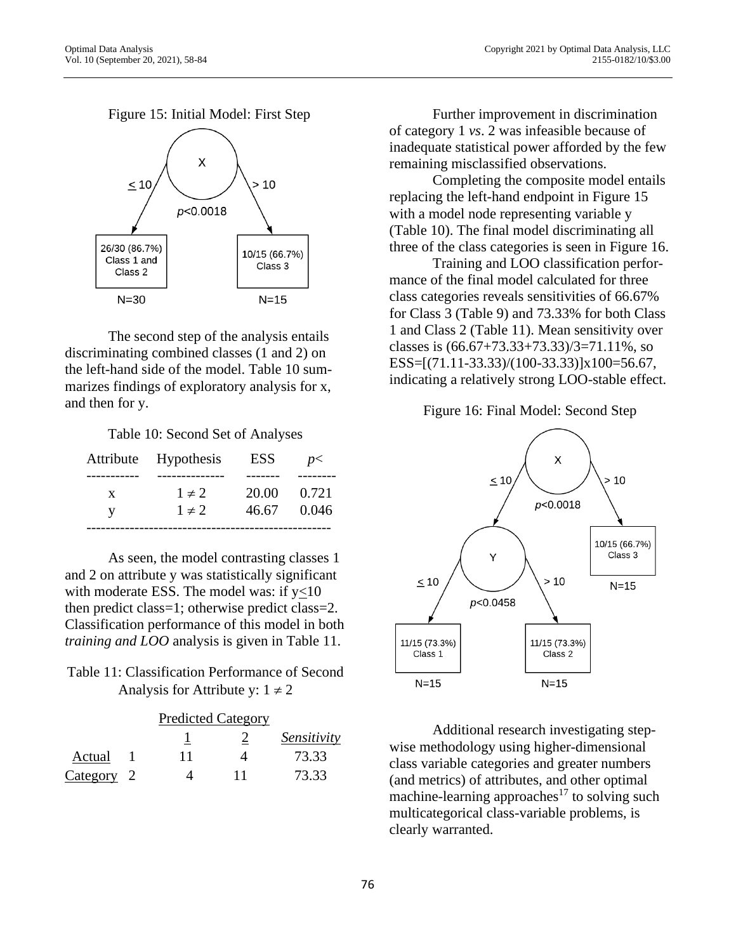Figure 15: Initial Model: First Step



The second step of the analysis entails discriminating combined classes (1 and 2) on the left-hand side of the model. Table 10 summarizes findings of exploratory analysis for x, and then for y.

Table 10: Second Set of Analyses

|   | Attribute Hypothesis | ESS   | p<    |
|---|----------------------|-------|-------|
|   |                      |       |       |
| X | $1 \neq 2$           | 20.00 | 0.721 |
| V | $1 \neq 2$           | 46.67 | 0.046 |
|   |                      |       |       |

As seen, the model contrasting classes 1 and 2 on attribute y was statistically significant with moderate ESS. The model was: if y<10 then predict class=1; otherwise predict class=2. Classification performance of this model in both *training and LOO* analysis is given in Table 11.

# Table 11: Classification Performance of Second Analysis for Attribute y:  $1 \neq 2$

|            | <b>Predicted Category</b> |    |             |
|------------|---------------------------|----|-------------|
|            |                           |    | Sensitivity |
| Actual     | 11                        |    | 73.33       |
| Category 2 |                           | 11 | 73.33       |

Further improvement in discrimination of category 1 *vs*. 2 was infeasible because of inadequate statistical power afforded by the few remaining misclassified observations.

Completing the composite model entails replacing the left-hand endpoint in Figure 15 with a model node representing variable y (Table 10). The final model discriminating all three of the class categories is seen in Figure 16.

Training and LOO classification performance of the final model calculated for three class categories reveals sensitivities of 66.67% for Class 3 (Table 9) and 73.33% for both Class 1 and Class 2 (Table 11). Mean sensitivity over classes is  $(66.67 + 73.33 + 73.33)/3 = 71.11\%$ , so ESS=[(71.11-33.33)/(100-33.33)]x100=56.67, indicating a relatively strong LOO-stable effect.

### Figure 16: Final Model: Second Step



Additional research investigating stepwise methodology using higher-dimensional class variable categories and greater numbers (and metrics) of attributes, and other optimal machine-learning approaches<sup>17</sup> to solving such multicategorical class-variable problems, is clearly warranted.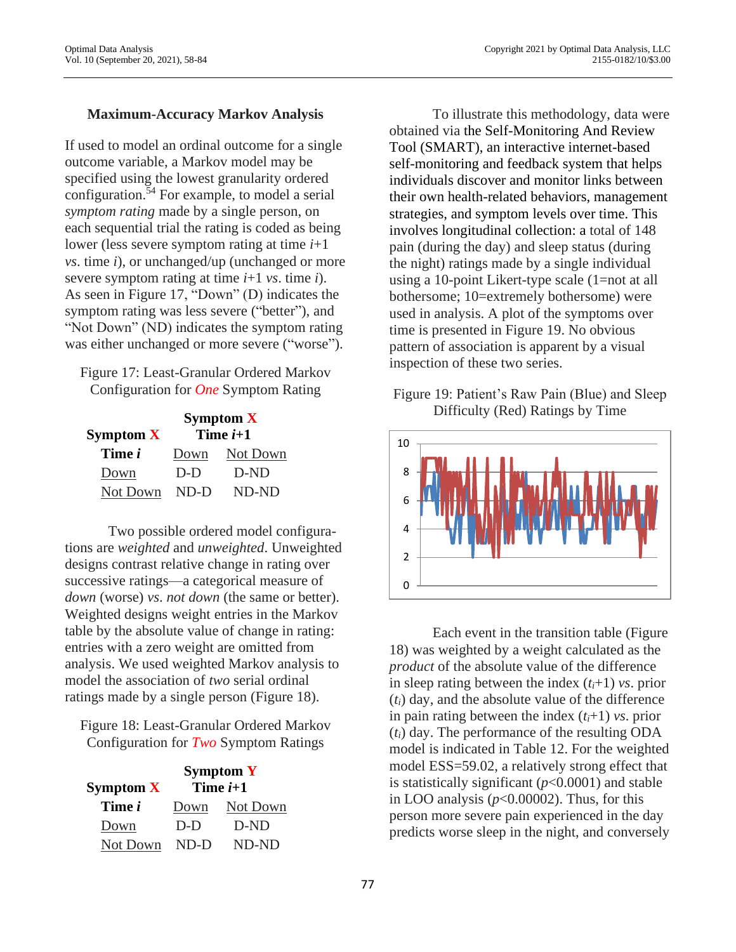### **Maximum-Accuracy Markov Analysis**

If used to model an ordinal outcome for a single outcome variable, a Markov model may be specified using the lowest granularity ordered configuration.<sup>54</sup> For example, to model a serial *symptom rating* made by a single person, on each sequential trial the rating is coded as being lower (less severe symptom rating at time *i*+1 *vs*. time *i*), or unchanged/up (unchanged or more severe symptom rating at time *i*+1 *vs*. time *i*). As seen in Figure 17, "Down" (D) indicates the symptom rating was less severe ("better"), and "Not Down" (ND) indicates the symptom rating was either unchanged or more severe ("worse").

Figure 17: Least-Granular Ordered Markov Configuration for *One* Symptom Rating

|               | Symptom $X$ |          |  |
|---------------|-------------|----------|--|
| Symptom $X$   | Time $i+1$  |          |  |
| Time <i>i</i> | Down        | Not Down |  |
| Down          | $D-D$       | $D-ND$   |  |
| Not Down      | $ND-D$      | ND-ND    |  |

Two possible ordered model configurations are *weighted* and *unweighted*. Unweighted designs contrast relative change in rating over successive ratings—a categorical measure of *down* (worse) *vs*. *not down* (the same or better). Weighted designs weight entries in the Markov table by the absolute value of change in rating: entries with a zero weight are omitted from analysis. We used weighted Markov analysis to model the association of *two* serial ordinal ratings made by a single person (Figure 18).

Figure 18: Least-Granular Ordered Markov Configuration for *Two* Symptom Ratings

| Symptom $X$   | Symptom $Y$<br>Time $i+1$ |          |  |
|---------------|---------------------------|----------|--|
| Time <i>i</i> | Down                      | Not Down |  |
| Down          | $D-D$                     | D-ND     |  |
| Not Down      | ND-D                      | ND-ND    |  |

To illustrate this methodology, data were obtained via the Self-Monitoring And Review Tool (SMART), an interactive internet-based self-monitoring and feedback system that helps individuals discover and monitor links between their own health-related behaviors, management strategies, and symptom levels over time. This involves longitudinal collection: a total of 148 pain (during the day) and sleep status (during the night) ratings made by a single individual using a 10-point Likert-type scale (1=not at all bothersome; 10=extremely bothersome) were used in analysis. A plot of the symptoms over time is presented in Figure 19. No obvious pattern of association is apparent by a visual inspection of these two series.

Figure 19: Patient's Raw Pain (Blue) and Sleep Difficulty (Red) Ratings by Time



Each event in the transition table (Figure 18) was weighted by a weight calculated as the *product* of the absolute value of the difference in sleep rating between the index  $(t<sub>i</sub>+1)$  *vs*. prior (*ti*) day, and the absolute value of the difference in pain rating between the index  $(t<sub>i</sub>+1)$  *vs*. prior (*ti*) day. The performance of the resulting ODA model is indicated in Table 12. For the weighted model ESS=59.02, a relatively strong effect that is statistically significant (*p*<0.0001) and stable in LOO analysis (*p*<0.00002). Thus, for this person more severe pain experienced in the day predicts worse sleep in the night, and conversely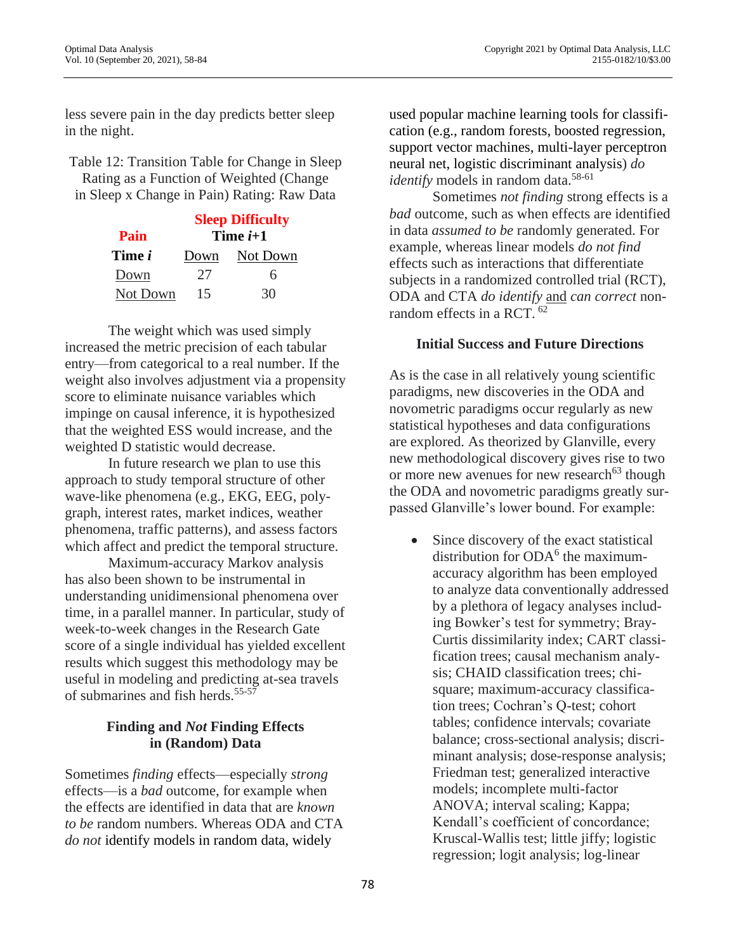less severe pain in the day predicts better sleep in the night.

Table 12: Transition Table for Change in Sleep Rating as a Function of Weighted (Change in Sleep x Change in Pain) Rating: Raw Data

|               | <b>Sleep Difficulty</b> |          |  |
|---------------|-------------------------|----------|--|
| Pain          | Time $i+1$              |          |  |
| Time <i>i</i> | Down                    | Not Down |  |
| Down          | 27                      | h        |  |
| Not Down      | 15                      | 30       |  |

The weight which was used simply increased the metric precision of each tabular entry—from categorical to a real number. If the weight also involves adjustment via a propensity score to eliminate nuisance variables which impinge on causal inference, it is hypothesized that the weighted ESS would increase, and the weighted D statistic would decrease.

In future research we plan to use this approach to study temporal structure of other wave-like phenomena (e.g., EKG, EEG, polygraph, interest rates, market indices, weather phenomena, traffic patterns), and assess factors which affect and predict the temporal structure.

Maximum-accuracy Markov analysis has also been shown to be instrumental in understanding unidimensional phenomena over time, in a parallel manner. In particular, study of week-to-week changes in the Research Gate score of a single individual has yielded excellent results which suggest this methodology may be useful in modeling and predicting at-sea travels of submarines and fish herds.<sup>55-57</sup>

# **Finding and** *Not* **Finding Effects in (Random) Data**

Sometimes *finding* effects—especially *strong* effects—is a *bad* outcome, for example when the effects are identified in data that are *known to be* random numbers. Whereas ODA and CTA *do not* identify models in random data, widely

used popular machine learning tools for classification (e.g., random forests, boosted regression, support vector machines, multi-layer perceptron neural net, logistic discriminant analysis) *do identify* models in random data.<sup>58-61</sup>

Sometimes *not finding* strong effects is a *bad* outcome, such as when effects are identified in data *assumed to be* randomly generated. For example, whereas linear models *do not find* effects such as interactions that differentiate subjects in a randomized controlled trial (RCT), ODA and CTA *do identify* and *can correct* nonrandom effects in a RCT. <sup>62</sup>

### **Initial Success and Future Directions**

As is the case in all relatively young scientific paradigms, new discoveries in the ODA and novometric paradigms occur regularly as new statistical hypotheses and data configurations are explored. As theorized by Glanville, every new methodological discovery gives rise to two or more new avenues for new research<sup>63</sup> though the ODA and novometric paradigms greatly surpassed Glanville's lower bound. For example:

• Since discovery of the exact statistical distribution for ODA<sup>6</sup> the maximumaccuracy algorithm has been employed to analyze data conventionally addressed by a plethora of legacy analyses including Bowker's test for symmetry; Bray-Curtis dissimilarity index; CART classification trees; causal mechanism analysis; CHAID classification trees; chisquare; maximum-accuracy classification trees; Cochran's Q-test; cohort tables; confidence intervals; covariate balance; cross-sectional analysis; discriminant analysis; dose-response analysis; Friedman test; generalized interactive models; incomplete multi-factor ANOVA; interval scaling; Kappa; Kendall's coefficient of concordance; Kruscal-Wallis test; little jiffy; logistic regression; logit analysis; log-linear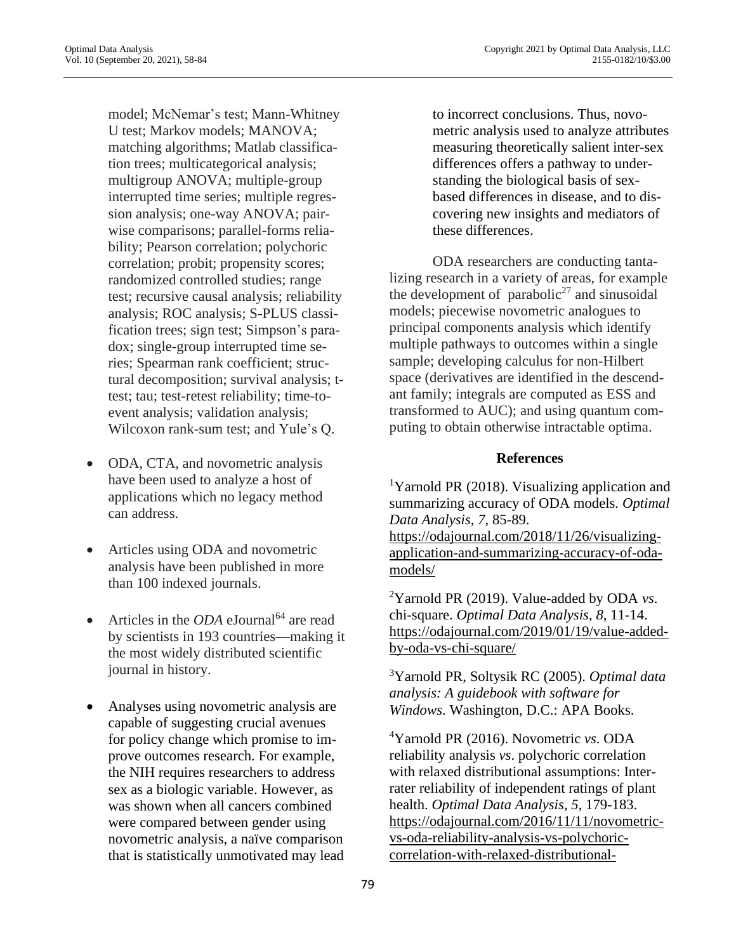Optimal Data Analysis, LLC<br>
Vol. 10 (September 20, 2021), 58-84<br>
2155-0182/10/\$3.00

model; McNemar's test; Mann-Whitney U test; Markov models; MANOVA; matching algorithms; Matlab classification trees; multicategorical analysis; multigroup ANOVA; multiple-group interrupted time series; multiple regression analysis; one-way ANOVA; pairwise comparisons; parallel-forms reliability; Pearson correlation; polychoric correlation; probit; propensity scores; randomized controlled studies; range test; recursive causal analysis; reliability analysis; ROC analysis; S-PLUS classification trees; sign test; Simpson's paradox; single-group interrupted time series; Spearman rank coefficient; structural decomposition; survival analysis; ttest; tau; test-retest reliability; time-toevent analysis; validation analysis; Wilcoxon rank-sum test; and Yule's Q.

- ODA, CTA, and novometric analysis have been used to analyze a host of applications which no legacy method can address.
- Articles using ODA and novometric analysis have been published in more than 100 indexed journals.
- Articles in the *ODA* eJournal<sup>64</sup> are read by scientists in 193 countries—making it the most widely distributed scientific journal in history.
- Analyses using novometric analysis are capable of suggesting crucial avenues for policy change which promise to improve outcomes research. For example, the NIH requires researchers to address sex as a biologic variable. However, as was shown when all cancers combined were compared between gender using novometric analysis, a naïve comparison that is statistically unmotivated may lead

to incorrect conclusions. Thus, novometric analysis used to analyze attributes measuring theoretically salient inter-sex differences offers a pathway to understanding the biological basis of sexbased differences in disease, and to discovering new insights and mediators of these differences.

ODA researchers are conducting tantalizing research in a variety of areas, for example the development of parabolic<sup>27</sup> and sinusoidal models; piecewise novometric analogues to principal components analysis which identify multiple pathways to outcomes within a single sample; developing calculus for non-Hilbert space (derivatives are identified in the descendant family; integrals are computed as ESS and transformed to AUC); and using quantum computing to obtain otherwise intractable optima.

### **References**

<sup>1</sup>Yarnold PR (2018). Visualizing application and summarizing accuracy of ODA models. *Optimal Data Analysis*, *7*, 85-89. [https://odajournal.com/2018/11/26/visualizing](https://odajournal.com/2018/11/26/visualizing-application-and-summarizing-accuracy-of-oda-models/)[application-and-summarizing-accuracy-of-oda](https://odajournal.com/2018/11/26/visualizing-application-and-summarizing-accuracy-of-oda-models/)[models/](https://odajournal.com/2018/11/26/visualizing-application-and-summarizing-accuracy-of-oda-models/)

<sup>2</sup>Yarnold PR (2019). Value-added by ODA *vs*. chi-square. *Optimal Data Analysis*, *8*, 11-14. [https://odajournal.com/2019/01/19/value-added](https://odajournal.com/2019/01/19/value-added-by-oda-vs-chi-square/)[by-oda-vs-chi-square/](https://odajournal.com/2019/01/19/value-added-by-oda-vs-chi-square/)

<sup>3</sup>Yarnold PR, Soltysik RC (2005). *Optimal data analysis: A guidebook with software for Windows*. Washington, D.C.: APA Books.

<sup>4</sup>Yarnold PR (2016). Novometric *vs*. ODA reliability analysis *vs*. polychoric correlation with relaxed distributional assumptions: Interrater reliability of independent ratings of plant health. *Optimal Data Analysis*, *5*, 179-183. [https://odajournal.com/2016/11/11/novometric](https://odajournal.com/2016/11/11/novometric-vs-oda-reliability-analysis-vs-polychoric-correlation-with-relaxed-distributional-assumptions-inter-rater-reliability-of-independent-ratings-of-plant-health/)[vs-oda-reliability-analysis-vs-polychoric](https://odajournal.com/2016/11/11/novometric-vs-oda-reliability-analysis-vs-polychoric-correlation-with-relaxed-distributional-assumptions-inter-rater-reliability-of-independent-ratings-of-plant-health/)[correlation-with-relaxed-distributional-](https://odajournal.com/2016/11/11/novometric-vs-oda-reliability-analysis-vs-polychoric-correlation-with-relaxed-distributional-assumptions-inter-rater-reliability-of-independent-ratings-of-plant-health/)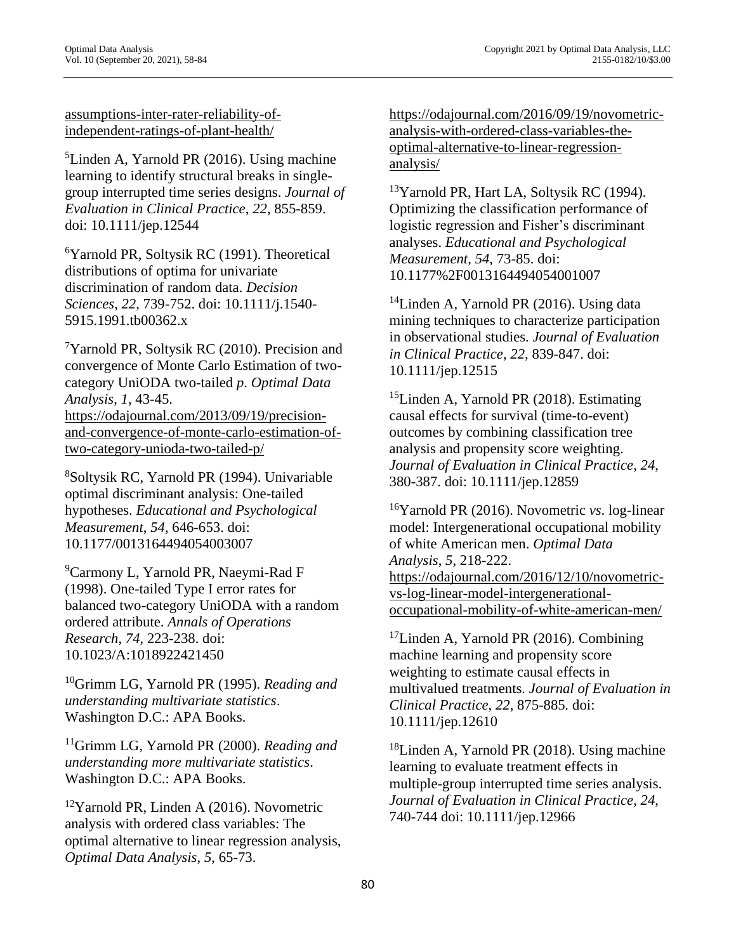[assumptions-inter-rater-reliability-of](https://odajournal.com/2016/11/11/novometric-vs-oda-reliability-analysis-vs-polychoric-correlation-with-relaxed-distributional-assumptions-inter-rater-reliability-of-independent-ratings-of-plant-health/)[independent-ratings-of-plant-health/](https://odajournal.com/2016/11/11/novometric-vs-oda-reliability-analysis-vs-polychoric-correlation-with-relaxed-distributional-assumptions-inter-rater-reliability-of-independent-ratings-of-plant-health/)

<sup>5</sup>Linden A, Yarnold PR (2016). Using machine learning to identify structural breaks in singlegroup interrupted time series designs. *Journal of Evaluation in Clinical Practice*, *22*, 855-859. doi: 10.1111/jep.12544

<sup>6</sup>Yarnold PR, Soltysik RC (1991). Theoretical distributions of optima for univariate discrimination of random data. *Decision Sciences*, *22*, 739-752. doi: [10.1111/j.1540-](http://dx.doi.org/10.1111/j.1540-5915.1991.tb00362.x) [5915.1991.tb00362.x](http://dx.doi.org/10.1111/j.1540-5915.1991.tb00362.x)

<sup>7</sup>Yarnold PR, Soltysik RC (2010). Precision and convergence of Monte Carlo Estimation of twocategory UniODA two-tailed *p*. *Optimal Data Analysis*, *1*, 43-45. [https://odajournal.com/2013/09/19/precision-](https://odajournal.com/2013/09/19/precision-and-convergence-of-monte-carlo-estimation-of-two-category-unioda-two-tailed-p/)

[and-convergence-of-monte-carlo-estimation-of](https://odajournal.com/2013/09/19/precision-and-convergence-of-monte-carlo-estimation-of-two-category-unioda-two-tailed-p/)[two-category-unioda-two-tailed-p/](https://odajournal.com/2013/09/19/precision-and-convergence-of-monte-carlo-estimation-of-two-category-unioda-two-tailed-p/)

<sup>8</sup>Soltysik RC, Yarnold PR (1994). Univariable optimal discriminant analysis: One-tailed hypotheses. *Educational and Psychological Measurement*, *54*, 646-653. doi: 10.1177/0013164494054003007

<sup>9</sup>Carmony L, Yarnold PR, Naeymi-Rad F (1998). One-tailed Type I error rates for balanced two-category UniODA with a random ordered attribute. *Annals of Operations Research*, *74*, 223-238. doi: 10.1023/A:1018922421450

<sup>10</sup>Grimm LG, Yarnold PR (1995). *Reading and understanding multivariate statistics*. Washington D.C.: APA Books.

<sup>11</sup>Grimm LG, Yarnold PR (2000). *Reading and understanding more multivariate statistics*. Washington D.C.: APA Books.

 $12$ Yarnold PR, Linden A (2016). Novometric analysis with ordered class variables: The optimal alternative to linear regression analysis, *Optimal Data Analysis*, *5*, 65-73.

[https://odajournal.com/2016/09/19/novometric](https://odajournal.com/2016/09/19/novometric-analysis-with-ordered-class-variables-the-optimal-alternative-to-linear-regression-analysis/)[analysis-with-ordered-class-variables-the](https://odajournal.com/2016/09/19/novometric-analysis-with-ordered-class-variables-the-optimal-alternative-to-linear-regression-analysis/)[optimal-alternative-to-linear-regression](https://odajournal.com/2016/09/19/novometric-analysis-with-ordered-class-variables-the-optimal-alternative-to-linear-regression-analysis/)[analysis/](https://odajournal.com/2016/09/19/novometric-analysis-with-ordered-class-variables-the-optimal-alternative-to-linear-regression-analysis/)

<sup>13</sup>Yarnold PR, Hart LA, Soltysik RC (1994). Optimizing the classification performance of logistic regression and Fisher's discriminant analyses. *Educational and Psychological Measurement*, *54*, 73-85. doi: 10.1177%2F0013164494054001007

<sup>14</sup>Linden A, Yarnold PR (2016). Using data mining techniques to characterize participation in observational studies. *Journal of Evaluation in Clinical Practice*, *22*, 839-847. doi: 10.1111/jep.12515

 $15$ Linden A, Yarnold PR (2018). Estimating causal effects for survival (time-to-event) outcomes by combining classification tree analysis and propensity score weighting. *Journal of Evaluation in Clinical Practice*, *24*, 380-387. doi: 10.1111/jep.12859

<sup>16</sup>Yarnold PR (2016). Novometric *vs*. log-linear model: Intergenerational occupational mobility of white American men. *Optimal Data Analysis*, *5*, 218-222. [https://odajournal.com/2016/12/10/novometric](https://odajournal.com/2016/12/10/novometric-vs-log-linear-model-intergenerational-occupational-mobility-of-white-american-men/)[vs-log-linear-model-intergenerational](https://odajournal.com/2016/12/10/novometric-vs-log-linear-model-intergenerational-occupational-mobility-of-white-american-men/)[occupational-mobility-of-white-american-men/](https://odajournal.com/2016/12/10/novometric-vs-log-linear-model-intergenerational-occupational-mobility-of-white-american-men/)

 $17$ Linden A, Yarnold PR (2016). Combining machine learning and propensity score weighting to estimate causal effects in multivalued treatments. *Journal of Evaluation in Clinical Practice*, *22*, 875-885*.* [doi:](https://doi.org/10.1111/jep.12610)  [10.1111/jep.12610](https://doi.org/10.1111/jep.12610)

<sup>18</sup>Linden A, Yarnold PR (2018). Using machine learning to evaluate treatment effects in multiple-group interrupted time series analysis. *Journal of Evaluation in Clinical Practice*, *24*, 740-744 doi: 10.1111/jep.12966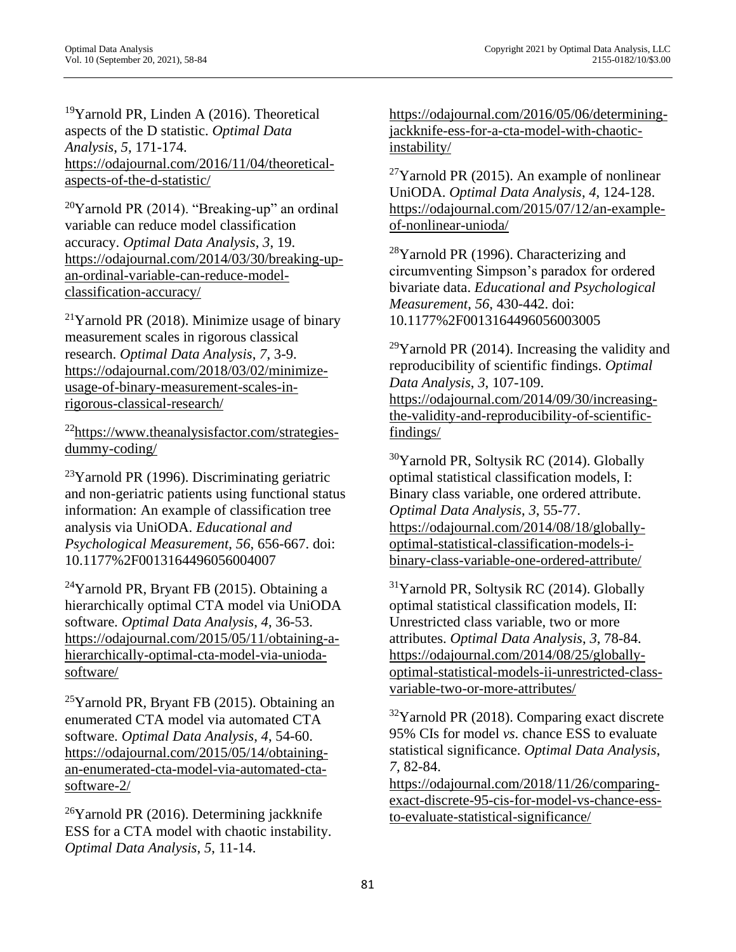<sup>19</sup>Yarnold PR, Linden A  $(2016)$ . Theoretical aspects of the D statistic. *Optimal Data Analysis*, *5*, 171-174. [https://odajournal.com/2016/11/04/theoretical](https://odajournal.com/2016/11/04/theoretical-aspects-of-the-d-statistic/)[aspects-of-the-d-statistic/](https://odajournal.com/2016/11/04/theoretical-aspects-of-the-d-statistic/)

 $20$ Yarnold PR (2014). "Breaking-up" an ordinal variable can reduce model classification accuracy. *Optimal Data Analysis*, *3*, 19. [https://odajournal.com/2014/03/30/breaking-up](https://odajournal.com/2014/03/30/breaking-up-an-ordinal-variable-can-reduce-model-classification-accuracy/)[an-ordinal-variable-can-reduce-model](https://odajournal.com/2014/03/30/breaking-up-an-ordinal-variable-can-reduce-model-classification-accuracy/)[classification-accuracy/](https://odajournal.com/2014/03/30/breaking-up-an-ordinal-variable-can-reduce-model-classification-accuracy/)

 $21$ Yarnold PR (2018). Minimize usage of binary measurement scales in rigorous classical research. *Optimal Data Analysis*, *7*, 3-9. [https://odajournal.com/2018/03/02/minimize](https://odajournal.com/2018/03/02/minimize-usage-of-binary-measurement-scales-in-rigorous-classical-research/)[usage-of-binary-measurement-scales-in](https://odajournal.com/2018/03/02/minimize-usage-of-binary-measurement-scales-in-rigorous-classical-research/)[rigorous-classical-research/](https://odajournal.com/2018/03/02/minimize-usage-of-binary-measurement-scales-in-rigorous-classical-research/)

<sup>22</sup>[https://www.theanalysisfactor.com/strategies](https://www.theanalysisfactor.com/strategies-dummy-coding/)[dummy-coding/](https://www.theanalysisfactor.com/strategies-dummy-coding/)

 $^{23}$ Yarnold PR (1996). Discriminating geriatric and non-geriatric patients using functional status information: An example of classification tree analysis via UniODA. *Educational and Psychological Measurement*, *56*, 656-667. doi: 10.1177%2F0013164496056004007

 $24$ Yarnold PR, Bryant FB (2015). Obtaining a hierarchically optimal CTA model via UniODA software. *Optimal Data Analysis*, *4*, 36-53. [https://odajournal.com/2015/05/11/obtaining-a](https://odajournal.com/2015/05/11/obtaining-a-hierarchically-optimal-cta-model-via-unioda-software/)[hierarchically-optimal-cta-model-via-unioda](https://odajournal.com/2015/05/11/obtaining-a-hierarchically-optimal-cta-model-via-unioda-software/)[software/](https://odajournal.com/2015/05/11/obtaining-a-hierarchically-optimal-cta-model-via-unioda-software/)

 $25$ Yarnold PR, Bryant FB (2015). Obtaining an enumerated CTA model via automated CTA software. *Optimal Data Analysis*, *4*, 54-60. [https://odajournal.com/2015/05/14/obtaining](https://odajournal.com/2015/05/14/obtaining-an-enumerated-cta-model-via-automated-cta-software-2/)[an-enumerated-cta-model-via-automated-cta](https://odajournal.com/2015/05/14/obtaining-an-enumerated-cta-model-via-automated-cta-software-2/)[software-2/](https://odajournal.com/2015/05/14/obtaining-an-enumerated-cta-model-via-automated-cta-software-2/)

 $^{26}$ Yarnold PR (2016). Determining jackknife ESS for a CTA model with chaotic instability. *Optimal Data Analysis*, *5*, 11-14.

[https://odajournal.com/2016/05/06/determining](https://odajournal.com/2016/05/06/determining-jackknife-ess-for-a-cta-model-with-chaotic-instability/)[jackknife-ess-for-a-cta-model-with-chaotic](https://odajournal.com/2016/05/06/determining-jackknife-ess-for-a-cta-model-with-chaotic-instability/)[instability/](https://odajournal.com/2016/05/06/determining-jackknife-ess-for-a-cta-model-with-chaotic-instability/)

 $27$ Yarnold PR (2015). An example of nonlinear UniODA. *Optimal Data Analysis*, *4*, 124-128. [https://odajournal.com/2015/07/12/an-example](https://odajournal.com/2015/07/12/an-example-of-nonlinear-unioda/)[of-nonlinear-unioda/](https://odajournal.com/2015/07/12/an-example-of-nonlinear-unioda/)

 $28$ Yarnold PR (1996). Characterizing and circumventing Simpson's paradox for ordered bivariate data. *Educational and Psychological Measurement*, *56*, 430-442. doi: 10.1177%2F0013164496056003005

 $29$ Yarnold PR (2014). Increasing the validity and reproducibility of scientific findings. *Optimal Data Analysis*, *3*, 107-109. [https://odajournal.com/2014/09/30/increasing](https://odajournal.com/2014/09/30/increasing-the-validity-and-reproducibility-of-scientific-findings/)[the-validity-and-reproducibility-of-scientific](https://odajournal.com/2014/09/30/increasing-the-validity-and-reproducibility-of-scientific-findings/)[findings/](https://odajournal.com/2014/09/30/increasing-the-validity-and-reproducibility-of-scientific-findings/)

<sup>30</sup>Yarnold PR, Soltysik RC (2014). Globally optimal statistical classification models, I: Binary class variable, one ordered attribute. *Optimal Data Analysis*, *3*, 55-77. [https://odajournal.com/2014/08/18/globally](https://odajournal.com/2014/08/18/globally-optimal-statistical-classification-models-i-binary-class-variable-one-ordered-attribute/)[optimal-statistical-classification-models-i](https://odajournal.com/2014/08/18/globally-optimal-statistical-classification-models-i-binary-class-variable-one-ordered-attribute/)[binary-class-variable-one-ordered-attribute/](https://odajournal.com/2014/08/18/globally-optimal-statistical-classification-models-i-binary-class-variable-one-ordered-attribute/)

 $31$ Yarnold PR, Soltysik RC (2014). Globally optimal statistical classification models, II: Unrestricted class variable, two or more attributes. *Optimal Data Analysis*, *3*, 78-84. [https://odajournal.com/2014/08/25/globally](https://odajournal.com/2014/08/25/globally-optimal-statistical-models-ii-unrestricted-class-variable-two-or-more-attributes/)[optimal-statistical-models-ii-unrestricted-class](https://odajournal.com/2014/08/25/globally-optimal-statistical-models-ii-unrestricted-class-variable-two-or-more-attributes/)[variable-two-or-more-attributes/](https://odajournal.com/2014/08/25/globally-optimal-statistical-models-ii-unrestricted-class-variable-two-or-more-attributes/)

 $32$ Yarnold PR (2018). Comparing exact discrete 95% CIs for model *vs*. chance ESS to evaluate statistical significance. *Optimal Data Analysis*, *7*, 82-84.

[https://odajournal.com/2018/11/26/comparing](https://odajournal.com/2018/11/26/comparing-exact-discrete-95-cis-for-model-vs-chance-ess-to-evaluate-statistical-significance/)[exact-discrete-95-cis-for-model-vs-chance-ess](https://odajournal.com/2018/11/26/comparing-exact-discrete-95-cis-for-model-vs-chance-ess-to-evaluate-statistical-significance/)[to-evaluate-statistical-significance/](https://odajournal.com/2018/11/26/comparing-exact-discrete-95-cis-for-model-vs-chance-ess-to-evaluate-statistical-significance/)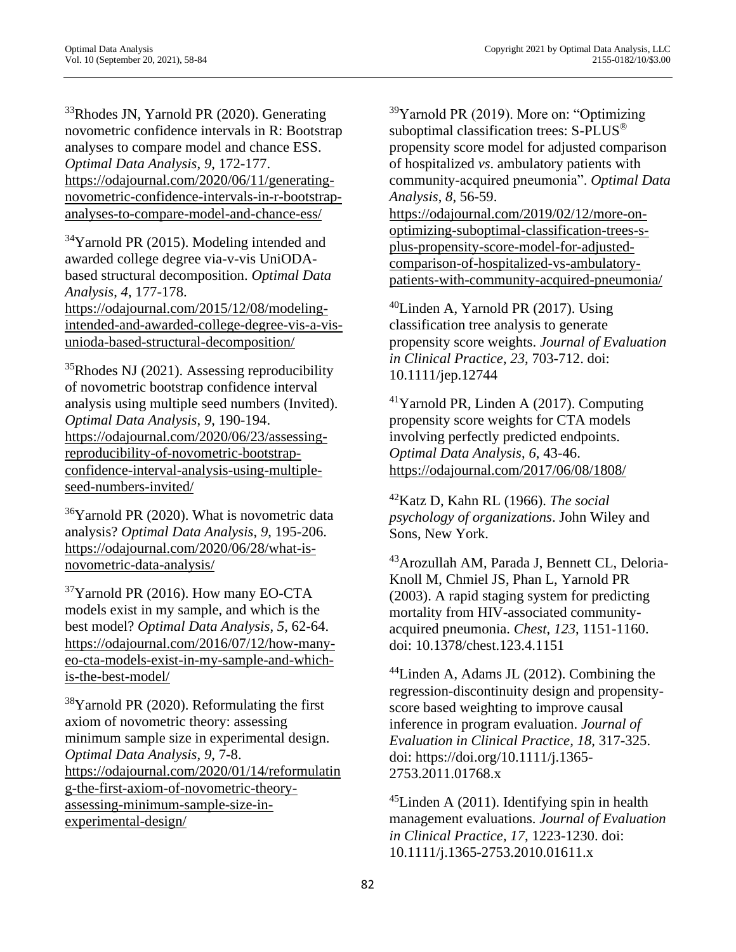<sup>33</sup>Rhodes JN, Yarnold PR (2020). Generating novometric confidence intervals in R: Bootstrap analyses to compare model and chance ESS. *Optimal Data Analysis*, *9*, 172-177. [https://odajournal.com/2020/06/11/generating](https://odajournal.com/2020/06/11/generating-novometric-confidence-intervals-in-r-bootstrap-analyses-to-compare-model-and-chance-ess/)[novometric-confidence-intervals-in-r-bootstrap](https://odajournal.com/2020/06/11/generating-novometric-confidence-intervals-in-r-bootstrap-analyses-to-compare-model-and-chance-ess/)[analyses-to-compare-model-and-chance-ess/](https://odajournal.com/2020/06/11/generating-novometric-confidence-intervals-in-r-bootstrap-analyses-to-compare-model-and-chance-ess/)

<sup>34</sup>Yarnold PR (2015). Modeling intended and awarded college degree via-v-vis UniODAbased structural decomposition. *Optimal Data Analysis*, *4*, 177-178. [https://odajournal.com/2015/12/08/modeling](https://odajournal.com/2015/12/08/modeling-intended-and-awarded-college-degree-vis-a-vis-unioda-based-structural-decomposition/)[intended-and-awarded-college-degree-vis-a-vis](https://odajournal.com/2015/12/08/modeling-intended-and-awarded-college-degree-vis-a-vis-unioda-based-structural-decomposition/)[unioda-based-structural-decomposition/](https://odajournal.com/2015/12/08/modeling-intended-and-awarded-college-degree-vis-a-vis-unioda-based-structural-decomposition/)

 $35$ Rhodes NJ (2021). Assessing reproducibility of novometric bootstrap confidence interval analysis using multiple seed numbers (Invited). *Optimal Data Analysis*, *9*, 190-194. [https://odajournal.com/2020/06/23/assessing](https://odajournal.com/2020/06/23/assessing-reproducibility-of-novometric-bootstrap-confidence-interval-analysis-using-multiple-seed-numbers-invited/)[reproducibility-of-novometric-bootstrap](https://odajournal.com/2020/06/23/assessing-reproducibility-of-novometric-bootstrap-confidence-interval-analysis-using-multiple-seed-numbers-invited/)[confidence-interval-analysis-using-multiple](https://odajournal.com/2020/06/23/assessing-reproducibility-of-novometric-bootstrap-confidence-interval-analysis-using-multiple-seed-numbers-invited/)[seed-numbers-invited/](https://odajournal.com/2020/06/23/assessing-reproducibility-of-novometric-bootstrap-confidence-interval-analysis-using-multiple-seed-numbers-invited/)

 $36$ Yarnold PR (2020). What is novometric data analysis? *Optimal Data Analysis*, *9*, 195-206. [https://odajournal.com/2020/06/28/what-is](https://odajournal.com/2020/06/28/what-is-novometric-data-analysis/)[novometric-data-analysis/](https://odajournal.com/2020/06/28/what-is-novometric-data-analysis/)

 $37$ Yarnold PR (2016). How many EO-CTA models exist in my sample, and which is the best model? *Optimal Data Analysis*, *5*, 62-64. [https://odajournal.com/2016/07/12/how-many](https://odajournal.com/2016/07/12/how-many-eo-cta-models-exist-in-my-sample-and-which-is-the-best-model/)[eo-cta-models-exist-in-my-sample-and-which](https://odajournal.com/2016/07/12/how-many-eo-cta-models-exist-in-my-sample-and-which-is-the-best-model/)[is-the-best-model/](https://odajournal.com/2016/07/12/how-many-eo-cta-models-exist-in-my-sample-and-which-is-the-best-model/)

 $38$ Yarnold PR (2020). Reformulating the first axiom of novometric theory: assessing minimum sample size in experimental design. *Optimal Data Analysis*, *9*, 7-8. [https://odajournal.com/2020/01/14/reformulatin](https://odajournal.com/2020/01/14/reformulating-the-first-axiom-of-novometric-theory-assessing-minimum-sample-size-in-experimental-design/) [g-the-first-axiom-of-novometric-theory](https://odajournal.com/2020/01/14/reformulating-the-first-axiom-of-novometric-theory-assessing-minimum-sample-size-in-experimental-design/)[assessing-minimum-sample-size-in](https://odajournal.com/2020/01/14/reformulating-the-first-axiom-of-novometric-theory-assessing-minimum-sample-size-in-experimental-design/)[experimental-design/](https://odajournal.com/2020/01/14/reformulating-the-first-axiom-of-novometric-theory-assessing-minimum-sample-size-in-experimental-design/)

 $39$ Yarnold PR (2019). More on: "Optimizing suboptimal classification trees: S-PLUS ® propensity score model for adjusted comparison of hospitalized *vs*. ambulatory patients with community-acquired pneumonia". *Optimal Data Analysis*, *8*, 56-59.

[https://odajournal.com/2019/02/12/more-on](https://odajournal.com/2019/02/12/more-on-optimizing-suboptimal-classification-trees-s-plus-propensity-score-model-for-adjusted-comparison-of-hospitalized-vs-ambulatory-patients-with-community-acquired-pneumonia/)[optimizing-suboptimal-classification-trees-s](https://odajournal.com/2019/02/12/more-on-optimizing-suboptimal-classification-trees-s-plus-propensity-score-model-for-adjusted-comparison-of-hospitalized-vs-ambulatory-patients-with-community-acquired-pneumonia/)[plus-propensity-score-model-for-adjusted](https://odajournal.com/2019/02/12/more-on-optimizing-suboptimal-classification-trees-s-plus-propensity-score-model-for-adjusted-comparison-of-hospitalized-vs-ambulatory-patients-with-community-acquired-pneumonia/)[comparison-of-hospitalized-vs-ambulatory](https://odajournal.com/2019/02/12/more-on-optimizing-suboptimal-classification-trees-s-plus-propensity-score-model-for-adjusted-comparison-of-hospitalized-vs-ambulatory-patients-with-community-acquired-pneumonia/)[patients-with-community-acquired-pneumonia/](https://odajournal.com/2019/02/12/more-on-optimizing-suboptimal-classification-trees-s-plus-propensity-score-model-for-adjusted-comparison-of-hospitalized-vs-ambulatory-patients-with-community-acquired-pneumonia/)

 $^{40}$ Linden A, Yarnold PR (2017). Using classification tree analysis to generate propensity score weights. *Journal of Evaluation in Clinical Practice*, *23*, 703-712. doi: 10.1111/jep.12744

 $41$ Yarnold PR, Linden A (2017). Computing propensity score weights for CTA models involving perfectly predicted endpoints. *Optimal Data Analysis*, *6*, 43-46. <https://odajournal.com/2017/06/08/1808/>

<sup>42</sup>Katz D, Kahn RL (1966). *The social psychology of organizations*. John Wiley and Sons, New York.

<sup>43</sup>Arozullah AM, Parada J, Bennett CL, Deloria-Knoll M, Chmiel JS, Phan L, Yarnold PR (2003). A rapid staging system for predicting mortality from HIV-associated communityacquired pneumonia. *Chest*, *123*, 1151-1160. doi: 10.1378/chest.123.4.1151

 $44$ Linden A, Adams JL (2012). Combining the regression-discontinuity design and propensityscore based weighting to improve causal inference in program evaluation. *Journal of Evaluation in Clinical Practice, 18*, 317-325. doi: https://doi.org/10.1111/j.1365- 2753.2011.01768.x

 $^{45}$ Linden A (2011). Identifying spin in health management evaluations. *Journal of Evaluation in Clinical Practice, 17*, 1223-1230. doi: 10.1111/j.1365-2753.2010.01611.x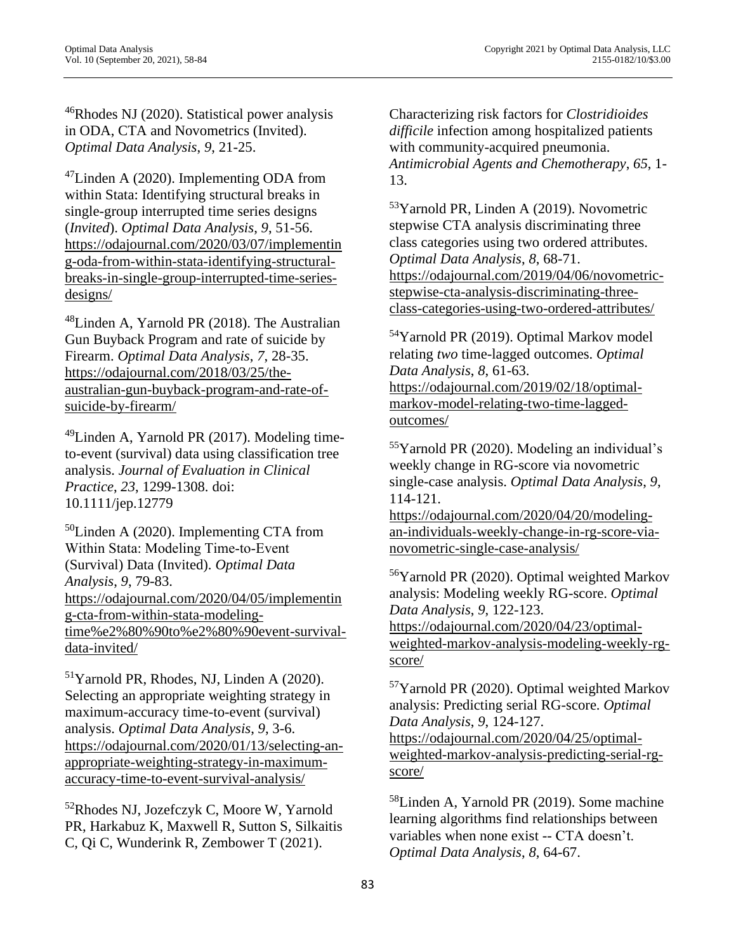$^{46}$ Rhodes NJ (2020). Statistical power analysis in ODA, CTA and Novometrics (Invited). *Optimal Data Analysis*, *9*, 21-25.

 $47$ Linden A (2020). Implementing ODA from within Stata: Identifying structural breaks in single-group interrupted time series designs (*Invited*). *Optimal Data Analysis*, *9*, 51-56. [https://odajournal.com/2020/03/07/implementin](https://odajournal.com/2020/03/07/implementing-oda-from-within-stata-identifying-structural-breaks-in-single-group-interrupted-time-series-designs/) [g-oda-from-within-stata-identifying-structural](https://odajournal.com/2020/03/07/implementing-oda-from-within-stata-identifying-structural-breaks-in-single-group-interrupted-time-series-designs/)[breaks-in-single-group-interrupted-time-series](https://odajournal.com/2020/03/07/implementing-oda-from-within-stata-identifying-structural-breaks-in-single-group-interrupted-time-series-designs/)[designs/](https://odajournal.com/2020/03/07/implementing-oda-from-within-stata-identifying-structural-breaks-in-single-group-interrupted-time-series-designs/)

<sup>48</sup>Linden A, Yarnold PR (2018). The Australian Gun Buyback Program and rate of suicide by Firearm. *Optimal Data Analysis*, *7*, 28-35. [https://odajournal.com/2018/03/25/the](https://odajournal.com/2018/03/25/the-australian-gun-buyback-program-and-rate-of-suicide-by-firearm/)[australian-gun-buyback-program-and-rate-of](https://odajournal.com/2018/03/25/the-australian-gun-buyback-program-and-rate-of-suicide-by-firearm/)[suicide-by-firearm/](https://odajournal.com/2018/03/25/the-australian-gun-buyback-program-and-rate-of-suicide-by-firearm/)

<sup>49</sup>Linden A, Yarnold PR (2017). Modeling timeto-event (survival) data using classification tree analysis. *Journal of Evaluation in Clinical Practice*, *23*, 1299-1308. doi: 10.1111/jep.12779

 $50$ Linden A (2020). Implementing CTA from Within Stata: Modeling Time‐to‐Event (Survival) Data (Invited). *Optimal Data Analysis*, *9*, 79-83. [https://odajournal.com/2020/04/05/implementin](https://odajournal.com/2020/04/05/implementing-cta-from-within-stata-modeling-time%e2%80%90to%e2%80%90event-survival-data-invited/) [g-cta-from-within-stata-modeling](https://odajournal.com/2020/04/05/implementing-cta-from-within-stata-modeling-time%e2%80%90to%e2%80%90event-survival-data-invited/)[time%e2%80%90to%e2%80%90event-survival](https://odajournal.com/2020/04/05/implementing-cta-from-within-stata-modeling-time%e2%80%90to%e2%80%90event-survival-data-invited/)[data-invited/](https://odajournal.com/2020/04/05/implementing-cta-from-within-stata-modeling-time%e2%80%90to%e2%80%90event-survival-data-invited/)

<sup>51</sup>Yarnold PR, Rhodes, NJ, Linden A (2020). Selecting an appropriate weighting strategy in maximum-accuracy time-to-event (survival) analysis. *Optimal Data Analysis*, *9*, 3-6. [https://odajournal.com/2020/01/13/selecting-an](https://odajournal.com/2020/01/13/selecting-an-appropriate-weighting-strategy-in-maximum-accuracy-time-to-event-survival-analysis/)[appropriate-weighting-strategy-in-maximum](https://odajournal.com/2020/01/13/selecting-an-appropriate-weighting-strategy-in-maximum-accuracy-time-to-event-survival-analysis/)[accuracy-time-to-event-survival-analysis/](https://odajournal.com/2020/01/13/selecting-an-appropriate-weighting-strategy-in-maximum-accuracy-time-to-event-survival-analysis/)

<sup>52</sup>Rhodes NJ, Jozefczyk C, Moore W, Yarnold PR, Harkabuz K, Maxwell R, Sutton S, Silkaitis C, Qi C, Wunderink R, Zembower T (2021).

Characterizing risk factors for *Clostridioides difficile* infection among hospitalized patients with community-acquired pneumonia. *Antimicrobial Agents and Chemotherapy*, *65*, 1- 13.

<sup>53</sup>Yarnold PR, Linden A (2019). Novometric stepwise CTA analysis discriminating three class categories using two ordered attributes. *Optimal Data Analysis*, *8*, 68-71. [https://odajournal.com/2019/04/06/novometric](https://odajournal.com/2019/04/06/novometric-stepwise-cta-analysis-discriminating-three-class-categories-using-two-ordered-attributes/)[stepwise-cta-analysis-discriminating-three](https://odajournal.com/2019/04/06/novometric-stepwise-cta-analysis-discriminating-three-class-categories-using-two-ordered-attributes/)[class-categories-using-two-ordered-attributes/](https://odajournal.com/2019/04/06/novometric-stepwise-cta-analysis-discriminating-three-class-categories-using-two-ordered-attributes/)

<sup>54</sup>Yarnold PR (2019). Optimal Markov model relating *two* time-lagged outcomes. *Optimal Data Analysis*, *8*, 61-63. [https://odajournal.com/2019/02/18/optimal](https://odajournal.com/2019/02/18/optimal-markov-model-relating-two-time-lagged-outcomes/)[markov-model-relating-two-time-lagged](https://odajournal.com/2019/02/18/optimal-markov-model-relating-two-time-lagged-outcomes/)[outcomes/](https://odajournal.com/2019/02/18/optimal-markov-model-relating-two-time-lagged-outcomes/)

<sup>55</sup>Yarnold PR (2020). Modeling an individual's weekly change in RG-score via novometric single-case analysis. *Optimal Data Analysis*, *9*, 114-121.

[https://odajournal.com/2020/04/20/modeling](https://odajournal.com/2020/04/20/modeling-an-individuals-weekly-change-in-rg-score-via-novometric-single-case-analysis/)[an-individuals-weekly-change-in-rg-score-via](https://odajournal.com/2020/04/20/modeling-an-individuals-weekly-change-in-rg-score-via-novometric-single-case-analysis/)[novometric-single-case-analysis/](https://odajournal.com/2020/04/20/modeling-an-individuals-weekly-change-in-rg-score-via-novometric-single-case-analysis/)

<sup>56</sup>Yarnold PR (2020). Optimal weighted Markov analysis: Modeling weekly RG-score. *Optimal Data Analysis*, *9*, 122-123. [https://odajournal.com/2020/04/23/optimal](https://odajournal.com/2020/04/23/optimal-weighted-markov-analysis-modeling-weekly-rg-score/)[weighted-markov-analysis-modeling-weekly-rg](https://odajournal.com/2020/04/23/optimal-weighted-markov-analysis-modeling-weekly-rg-score/)[score/](https://odajournal.com/2020/04/23/optimal-weighted-markov-analysis-modeling-weekly-rg-score/)

<sup>57</sup>Yarnold PR (2020). Optimal weighted Markov analysis: Predicting serial RG-score. *Optimal Data Analysis*, *9*, 124-127. [https://odajournal.com/2020/04/25/optimal](https://odajournal.com/2020/04/25/optimal-weighted-markov-analysis-predicting-serial-rg-score/)[weighted-markov-analysis-predicting-serial-rg](https://odajournal.com/2020/04/25/optimal-weighted-markov-analysis-predicting-serial-rg-score/)[score/](https://odajournal.com/2020/04/25/optimal-weighted-markov-analysis-predicting-serial-rg-score/)

<sup>58</sup>Linden A, Yarnold PR (2019). Some machine learning algorithms find relationships between variables when none exist -- CTA doesn't. *Optimal Data Analysis*, *8*, 64-67.